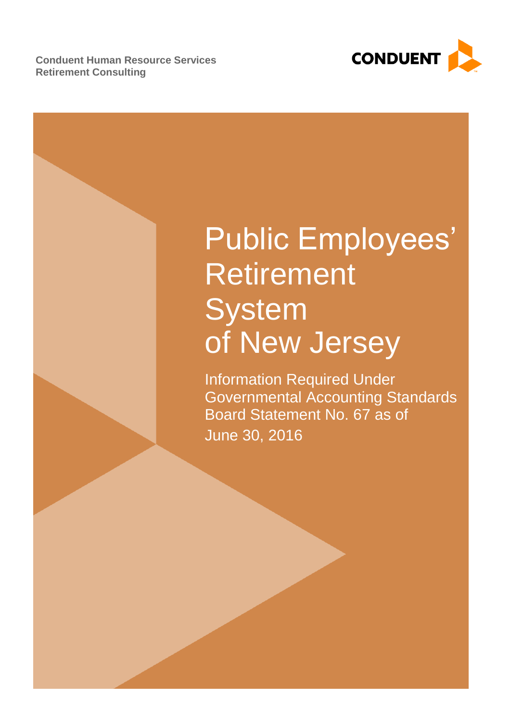**Conduent Human Resource Services Retirement Consulting**



# Public Employees' Retirement **System** of New Jersey

Information Required Under Governmental Accounting Standards Board Statement No. 67 as of June 30, 2016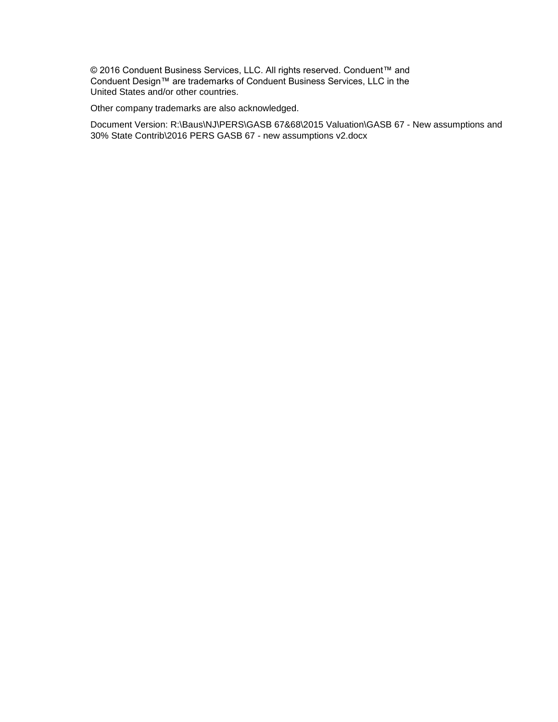© 2016 Conduent Business Services, LLC. All rights reserved. Conduent™ and Conduent Design™ are trademarks of Conduent Business Services, LLC in the United States and/or other countries.

Other company trademarks are also acknowledged.

Document Version: R:\Baus\NJ\PERS\GASB 67&68\2015 Valuation\GASB 67 - New assumptions and 30% State Contrib\2016 PERS GASB 67 - new assumptions v2.docx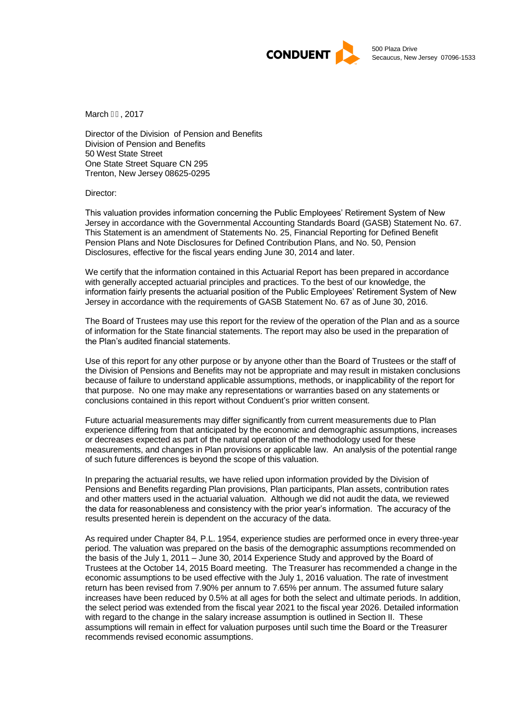

March GH 2017

Director of the Division of Pension and Benefits Division of Pension and Benefits 50 West State Street One State Street Square CN 295 Trenton, New Jersey 08625-0295

Director:

This valuation provides information concerning the Public Employees' Retirement System of New Jersey in accordance with the Governmental Accounting Standards Board (GASB) Statement No. 67. This Statement is an amendment of Statements No. 25, Financial Reporting for Defined Benefit Pension Plans and Note Disclosures for Defined Contribution Plans, and No. 50, Pension Disclosures, effective for the fiscal years ending June 30, 2014 and later.

We certify that the information contained in this Actuarial Report has been prepared in accordance with generally accepted actuarial principles and practices. To the best of our knowledge, the information fairly presents the actuarial position of the Public Employees' Retirement System of New Jersey in accordance with the requirements of GASB Statement No. 67 as of June 30, 2016.

The Board of Trustees may use this report for the review of the operation of the Plan and as a source of information for the State financial statements. The report may also be used in the preparation of the Plan's audited financial statements.

Use of this report for any other purpose or by anyone other than the Board of Trustees or the staff of the Division of Pensions and Benefits may not be appropriate and may result in mistaken conclusions because of failure to understand applicable assumptions, methods, or inapplicability of the report for that purpose. No one may make any representations or warranties based on any statements or conclusions contained in this report without Conduent's prior written consent.

Future actuarial measurements may differ significantly from current measurements due to Plan experience differing from that anticipated by the economic and demographic assumptions, increases or decreases expected as part of the natural operation of the methodology used for these measurements, and changes in Plan provisions or applicable law. An analysis of the potential range of such future differences is beyond the scope of this valuation.

In preparing the actuarial results, we have relied upon information provided by the Division of Pensions and Benefits regarding Plan provisions, Plan participants, Plan assets, contribution rates and other matters used in the actuarial valuation. Although we did not audit the data, we reviewed the data for reasonableness and consistency with the prior year's information. The accuracy of the results presented herein is dependent on the accuracy of the data.

As required under Chapter 84, P.L. 1954, experience studies are performed once in every three-year period. The valuation was prepared on the basis of the demographic assumptions recommended on the basis of the July 1, 2011 – June 30, 2014 Experience Study and approved by the Board of Trustees at the October 14, 2015 Board meeting. The Treasurer has recommended a change in the economic assumptions to be used effective with the July 1, 2016 valuation. The rate of investment return has been revised from 7.90% per annum to 7.65% per annum. The assumed future salary increases have been reduced by 0.5% at all ages for both the select and ultimate periods. In addition, the select period was extended from the fiscal year 2021 to the fiscal year 2026. Detailed information with regard to the change in the salary increase assumption is outlined in Section II. These assumptions will remain in effect for valuation purposes until such time the Board or the Treasurer recommends revised economic assumptions.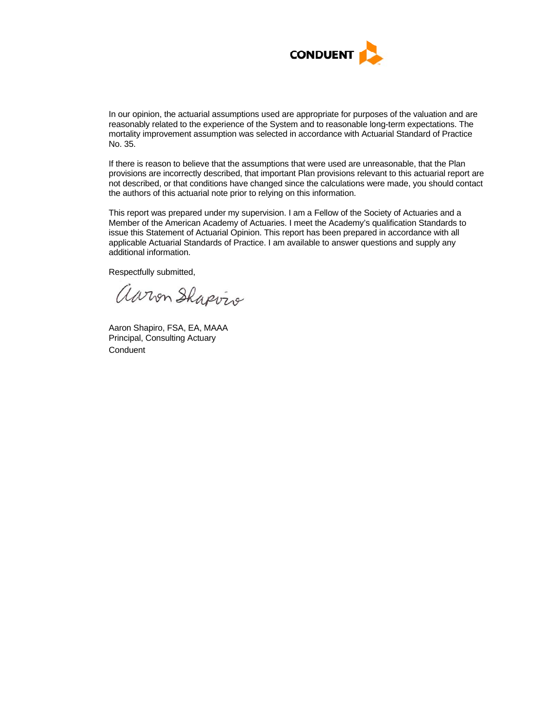

In our opinion, the actuarial assumptions used are appropriate for purposes of the valuation and are reasonably related to the experience of the System and to reasonable long-term expectations. The mortality improvement assumption was selected in accordance with Actuarial Standard of Practice No. 35.

If there is reason to believe that the assumptions that were used are unreasonable, that the Plan provisions are incorrectly described, that important Plan provisions relevant to this actuarial report are not described, or that conditions have changed since the calculations were made, you should contact the authors of this actuarial note prior to relying on this information.

This report was prepared under my supervision. I am a Fellow of the Society of Actuaries and a Member of the American Academy of Actuaries. I meet the Academy's qualification Standards to issue this Statement of Actuarial Opinion. This report has been prepared in accordance with all applicable Actuarial Standards of Practice. I am available to answer questions and supply any additional information.

Respectfully submitted,

aaron Shapvis

Aaron Shapiro, FSA, EA, MAAA Principal, Consulting Actuary **Conduent**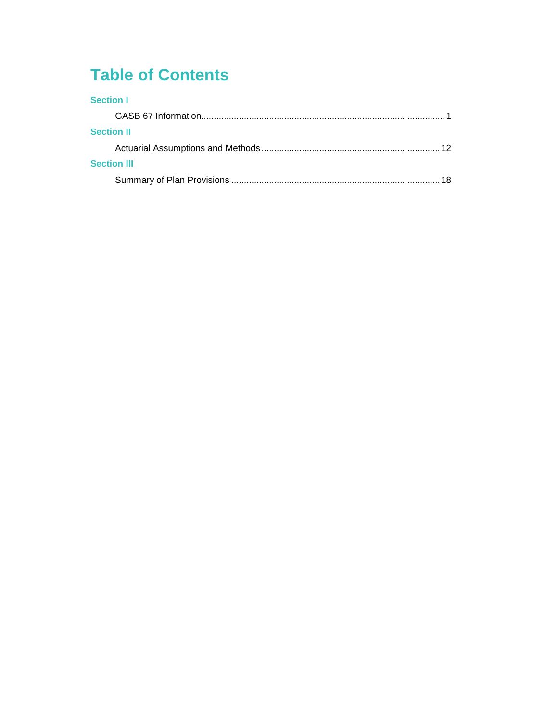# **Table of Contents**

| <b>Section I</b>   |     |
|--------------------|-----|
|                    |     |
| <b>Section II</b>  |     |
|                    | 12. |
| <b>Section III</b> |     |
|                    |     |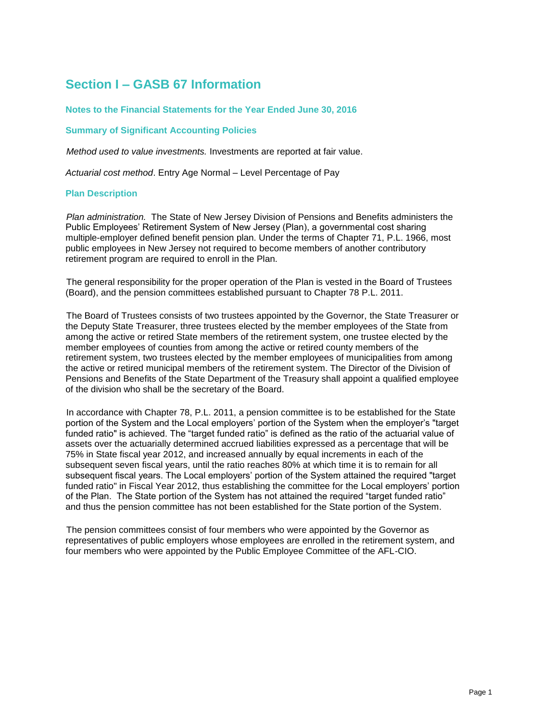# **Section I – GASB 67 Information**

### **Notes to the Financial Statements for the Year Ended June 30, 2016**

# **Summary of Significant Accounting Policies**

*Method used to value investments.* Investments are reported at fair value.

*Actuarial cost method*. Entry Age Normal – Level Percentage of Pay

#### **Plan Description**

*Plan administration.* The State of New Jersey Division of Pensions and Benefits administers the Public Employees' Retirement System of New Jersey (Plan), a governmental cost sharing multiple-employer defined benefit pension plan. Under the terms of Chapter 71, P.L. 1966, most public employees in New Jersey not required to become members of another contributory retirement program are required to enroll in the Plan.

The general responsibility for the proper operation of the Plan is vested in the Board of Trustees (Board), and the pension committees established pursuant to Chapter 78 P.L. 2011.

The Board of Trustees consists of two trustees appointed by the Governor, the State Treasurer or the Deputy State Treasurer, three trustees elected by the member employees of the State from among the active or retired State members of the retirement system, one trustee elected by the member employees of counties from among the active or retired county members of the retirement system, two trustees elected by the member employees of municipalities from among the active or retired municipal members of the retirement system. The Director of the Division of Pensions and Benefits of the State Department of the Treasury shall appoint a qualified employee of the division who shall be the secretary of the Board.

In accordance with Chapter 78, P.L. 2011, a pension committee is to be established for the State portion of the System and the Local employers' portion of the System when the employer's "target funded ratio" is achieved. The "target funded ratio" is defined as the ratio of the actuarial value of assets over the actuarially determined accrued liabilities expressed as a percentage that will be 75% in State fiscal year 2012, and increased annually by equal increments in each of the subsequent seven fiscal years, until the ratio reaches 80% at which time it is to remain for all subsequent fiscal years. The Local employers' portion of the System attained the required "target funded ratio" in Fiscal Year 2012, thus establishing the committee for the Local employers' portion of the Plan. The State portion of the System has not attained the required "target funded ratio" and thus the pension committee has not been established for the State portion of the System.

The pension committees consist of four members who were appointed by the Governor as representatives of public employers whose employees are enrolled in the retirement system, and four members who were appointed by the Public Employee Committee of the AFL-CIO.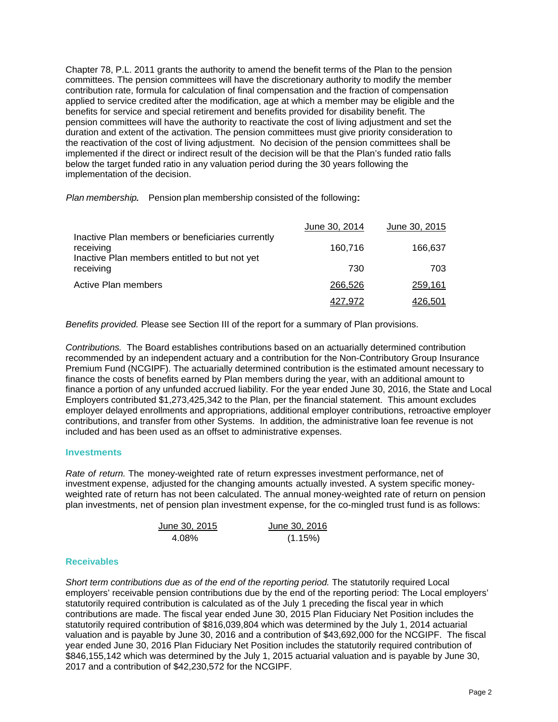Chapter 78, P.L. 2011 grants the authority to amend the benefit terms of the Plan to the pension committees. The pension committees will have the discretionary authority to modify the member contribution rate, formula for calculation of final compensation and the fraction of compensation applied to service credited after the modification, age at which a member may be eligible and the benefits for service and special retirement and benefits provided for disability benefit. The pension committees will have the authority to reactivate the cost of living adjustment and set the duration and extent of the activation. The pension committees must give priority consideration to the reactivation of the cost of living adjustment. No decision of the pension committees shall be implemented if the direct or indirect result of the decision will be that the Plan's funded ratio falls below the target funded ratio in any valuation period during the 30 years following the implementation of the decision.

*Plan membership.* Pension plan membership consisted of the following:

|                                                                                                                | June 30, 2014 | June 30, 2015 |
|----------------------------------------------------------------------------------------------------------------|---------------|---------------|
| Inactive Plan members or beneficiaries currently<br>receiving<br>Inactive Plan members entitled to but not yet | 160.716       | 166,637       |
| receiving                                                                                                      | 730           | 703.          |
| <b>Active Plan members</b>                                                                                     | 266,526       | 259,161       |
|                                                                                                                | 427.972       | 426,501       |

*Benefits provided.* Please see Section III of the report for a summary of Plan provisions.

*Contributions.* The Board establishes contributions based on an actuarially determined contribution recommended by an independent actuary and a contribution for the Non-Contributory Group Insurance Premium Fund (NCGIPF). The actuarially determined contribution is the estimated amount necessary to finance the costs of benefits earned by Plan members during the year, with an additional amount to finance a portion of any unfunded accrued liability. For the year ended June 30, 2016, the State and Local Employers contributed \$1,273,425,342 to the Plan, per the financial statement. This amount excludes employer delayed enrollments and appropriations, additional employer contributions, retroactive employer contributions, and transfer from other Systems. In addition, the administrative loan fee revenue is not included and has been used as an offset to administrative expenses.

# **Investments**

*Rate of return.* The money-weighted rate of return expresses investment performance, net of investment expense, adjusted for the changing amounts actually invested. A system specific moneyweighted rate of return has not been calculated. The annual money-weighted rate of return on pension plan investments, net of pension plan investment expense, for the co-mingled trust fund is as follows:

| June 30, 2015 | June 30, 2016 |
|---------------|---------------|
| 4.08%         | (1.15%)       |

# **Receivables**

*Short term contributions due as of the end of the reporting period.* The statutorily required Local employers' receivable pension contributions due by the end of the reporting period: The Local employers' statutorily required contribution is calculated as of the July 1 preceding the fiscal year in which contributions are made. The fiscal year ended June 30, 2015 Plan Fiduciary Net Position includes the statutorily required contribution of \$816,039,804 which was determined by the July 1, 2014 actuarial valuation and is payable by June 30, 2016 and a contribution of \$43,692,000 for the NCGIPF. The fiscal year ended June 30, 2016 Plan Fiduciary Net Position includes the statutorily required contribution of \$846,155,142 which was determined by the July 1, 2015 actuarial valuation and is payable by June 30, 2017 and a contribution of \$42,230,572 for the NCGIPF.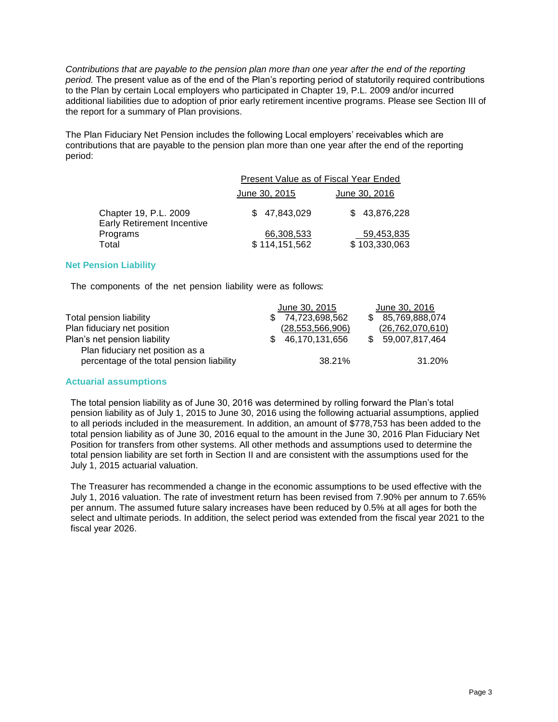*Contributions that are payable to the pension plan more than one year after the end of the reporting period.* The present value as of the end of the Plan's reporting period of statutorily required contributions to the Plan by certain Local employers who participated in Chapter 19, P.L. 2009 and/or incurred additional liabilities due to adoption of prior early retirement incentive programs. Please see Section III of the report for a summary of Plan provisions.

The Plan Fiduciary Net Pension includes the following Local employers' receivables which are contributions that are payable to the pension plan more than one year after the end of the reporting period:

|                                                            | Present Value as of Fiscal Year Ended |               |  |  |  |
|------------------------------------------------------------|---------------------------------------|---------------|--|--|--|
|                                                            | June 30, 2015<br>June 30, 2016        |               |  |  |  |
| Chapter 19, P.L. 2009<br><b>Early Retirement Incentive</b> | \$47.843.029                          | \$43,876,228  |  |  |  |
| Programs                                                   | 66,308,533                            | 59,453,835    |  |  |  |
| Total                                                      | \$114,151,562                         | \$103,330,063 |  |  |  |

# **Net Pension Liability**

The components of the net pension liability were as follows:

| June 30, 2015         | June 30, 2016       |
|-----------------------|---------------------|
| \$74,723,698,562      | 85,769,888,074      |
| (28, 553, 566, 906)   | (26, 762, 070, 610) |
| 46,170,131,656<br>SS. | \$ 59,007,817,464   |
|                       |                     |
| 38.21%                | 31.20%              |
|                       |                     |

# **Actuarial assumptions**

The total pension liability as of June 30, 2016 was determined by rolling forward the Plan's total pension liability as of July 1, 2015 to June 30, 2016 using the following actuarial assumptions, applied to all periods included in the measurement. In addition, an amount of \$778,753 has been added to the total pension liability as of June 30, 2016 equal to the amount in the June 30, 2016 Plan Fiduciary Net Position for transfers from other systems. All other methods and assumptions used to determine the total pension liability are set forth in Section II and are consistent with the assumptions used for the July 1, 2015 actuarial valuation.

The Treasurer has recommended a change in the economic assumptions to be used effective with the July 1, 2016 valuation. The rate of investment return has been revised from 7.90% per annum to 7.65% per annum. The assumed future salary increases have been reduced by 0.5% at all ages for both the select and ultimate periods. In addition, the select period was extended from the fiscal year 2021 to the fiscal year 2026.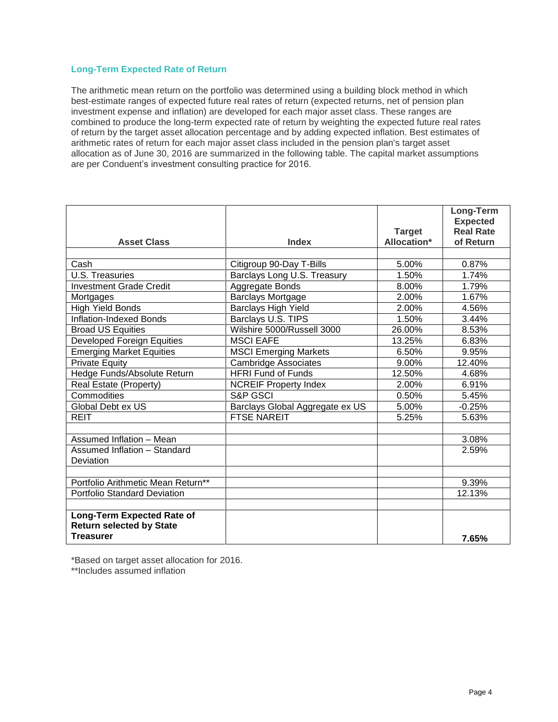# **Long-Term Expected Rate of Return**

The arithmetic mean return on the portfolio was determined using a building block method in which best-estimate ranges of expected future real rates of return (expected returns, net of pension plan investment expense and inflation) are developed for each major asset class. These ranges are combined to produce the long-term expected rate of return by weighting the expected future real rates of return by the target asset allocation percentage and by adding expected inflation. Best estimates of arithmetic rates of return for each major asset class included in the pension plan's target asset allocation as of June 30, 2016 are summarized in the following table. The capital market assumptions are per Conduent's investment consulting practice for 2016.

|                                     |                                 |                    | Long-Term        |
|-------------------------------------|---------------------------------|--------------------|------------------|
|                                     |                                 |                    | <b>Expected</b>  |
|                                     |                                 | <b>Target</b>      | <b>Real Rate</b> |
| <b>Asset Class</b>                  | <b>Index</b>                    | <b>Allocation*</b> | of Return        |
|                                     |                                 |                    |                  |
| Cash                                | Citigroup 90-Day T-Bills        | 5.00%              | 0.87%            |
| <b>U.S. Treasuries</b>              | Barclays Long U.S. Treasury     | 1.50%              | 1.74%            |
| <b>Investment Grade Credit</b>      | Aggregate Bonds                 | 8.00%              | 1.79%            |
| Mortgages                           | <b>Barclays Mortgage</b>        | 2.00%              | 1.67%            |
| <b>High Yield Bonds</b>             | Barclays High Yield             | 2.00%              | 4.56%            |
| <b>Inflation-Indexed Bonds</b>      | Barclays U.S. TIPS              | 1.50%              | 3.44%            |
| <b>Broad US Equities</b>            | Wilshire 5000/Russell 3000      | 26.00%             | 8.53%            |
| <b>Developed Foreign Equities</b>   | <b>MSCI EAFE</b>                | 13.25%             | 6.83%            |
| <b>Emerging Market Equities</b>     | <b>MSCI Emerging Markets</b>    | 6.50%              | 9.95%            |
| <b>Private Equity</b>               | <b>Cambridge Associates</b>     | 9.00%              | 12.40%           |
| Hedge Funds/Absolute Return         | <b>HFRI Fund of Funds</b>       | 12.50%             | 4.68%            |
| Real Estate (Property)              | <b>NCREIF Property Index</b>    | 2.00%              | 6.91%            |
| Commodities                         | <b>S&amp;P GSCI</b>             | 0.50%              | 5.45%            |
| Global Debt ex US                   | Barclays Global Aggregate ex US | 5.00%              | $-0.25%$         |
| <b>REIT</b>                         | <b>FTSE NAREIT</b>              | 5.25%              | 5.63%            |
|                                     |                                 |                    |                  |
| Assumed Inflation - Mean            |                                 |                    | 3.08%            |
| Assumed Inflation - Standard        |                                 |                    | 2.59%            |
| Deviation                           |                                 |                    |                  |
|                                     |                                 |                    |                  |
| Portfolio Arithmetic Mean Return**  |                                 |                    | 9.39%            |
| <b>Portfolio Standard Deviation</b> |                                 |                    | 12.13%           |
|                                     |                                 |                    |                  |
| <b>Long-Term Expected Rate of</b>   |                                 |                    |                  |
| <b>Return selected by State</b>     |                                 |                    |                  |
| <b>Treasurer</b>                    |                                 |                    | 7.65%            |

\*Based on target asset allocation for 2016.

\*\*Includes assumed inflation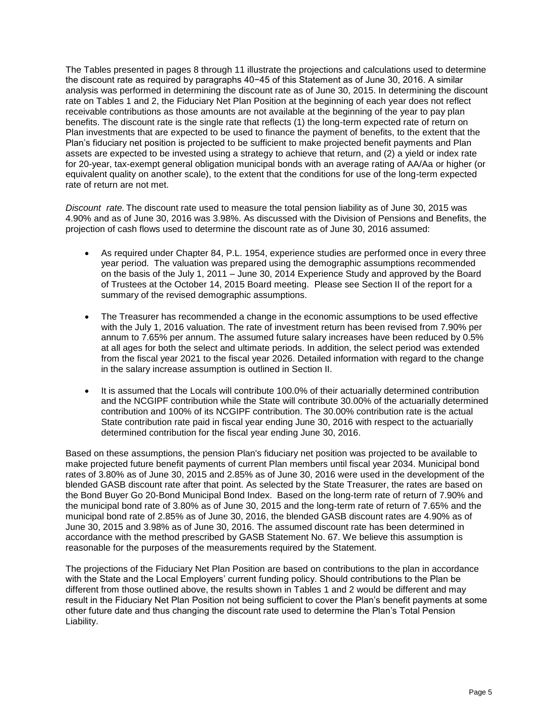The Tables presented in pages 8 through 11 illustrate the projections and calculations used to determine the discount rate as required by paragraphs 40−45 of this Statement as of June 30, 2016. A similar analysis was performed in determining the discount rate as of June 30, 2015. In determining the discount rate on Tables 1 and 2, the Fiduciary Net Plan Position at the beginning of each year does not reflect receivable contributions as those amounts are not available at the beginning of the year to pay plan benefits. The discount rate is the single rate that reflects (1) the long-term expected rate of return on Plan investments that are expected to be used to finance the payment of benefits, to the extent that the Plan's fiduciary net position is projected to be sufficient to make projected benefit payments and Plan assets are expected to be invested using a strategy to achieve that return, and (2) a yield or index rate for 20-year, tax-exempt general obligation municipal bonds with an average rating of AA/Aa or higher (or equivalent quality on another scale), to the extent that the conditions for use of the long-term expected rate of return are not met.

*Discount rate.* The discount rate used to measure the total pension liability as of June 30, 2015 was 4.90% and as of June 30, 2016 was 3.98%. As discussed with the Division of Pensions and Benefits, the projection of cash flows used to determine the discount rate as of June 30, 2016 assumed:

- As required under Chapter 84, P.L. 1954, experience studies are performed once in every three year period. The valuation was prepared using the demographic assumptions recommended on the basis of the July 1, 2011 – June 30, 2014 Experience Study and approved by the Board of Trustees at the October 14, 2015 Board meeting. Please see Section II of the report for a summary of the revised demographic assumptions.
- The Treasurer has recommended a change in the economic assumptions to be used effective with the July 1, 2016 valuation. The rate of investment return has been revised from 7.90% per annum to 7.65% per annum. The assumed future salary increases have been reduced by 0.5% at all ages for both the select and ultimate periods. In addition, the select period was extended from the fiscal year 2021 to the fiscal year 2026. Detailed information with regard to the change in the salary increase assumption is outlined in Section II.
- It is assumed that the Locals will contribute 100.0% of their actuarially determined contribution and the NCGIPF contribution while the State will contribute 30.00% of the actuarially determined contribution and 100% of its NCGIPF contribution. The 30.00% contribution rate is the actual State contribution rate paid in fiscal year ending June 30, 2016 with respect to the actuarially determined contribution for the fiscal year ending June 30, 2016.

Based on these assumptions, the pension Plan's fiduciary net position was projected to be available to make projected future benefit payments of current Plan members until fiscal year 2034. Municipal bond rates of 3.80% as of June 30, 2015 and 2.85% as of June 30, 2016 were used in the development of the blended GASB discount rate after that point. As selected by the State Treasurer, the rates are based on the Bond Buyer Go 20-Bond Municipal Bond Index. Based on the long-term rate of return of 7.90% and the municipal bond rate of 3.80% as of June 30, 2015 and the long-term rate of return of 7.65% and the municipal bond rate of 2.85% as of June 30, 2016, the blended GASB discount rates are 4.90% as of June 30, 2015 and 3.98% as of June 30, 2016. The assumed discount rate has been determined in accordance with the method prescribed by GASB Statement No. 67. We believe this assumption is reasonable for the purposes of the measurements required by the Statement.

The projections of the Fiduciary Net Plan Position are based on contributions to the plan in accordance with the State and the Local Employers' current funding policy. Should contributions to the Plan be different from those outlined above, the results shown in Tables 1 and 2 would be different and may result in the Fiduciary Net Plan Position not being sufficient to cover the Plan's benefit payments at some other future date and thus changing the discount rate used to determine the Plan's Total Pension Liability.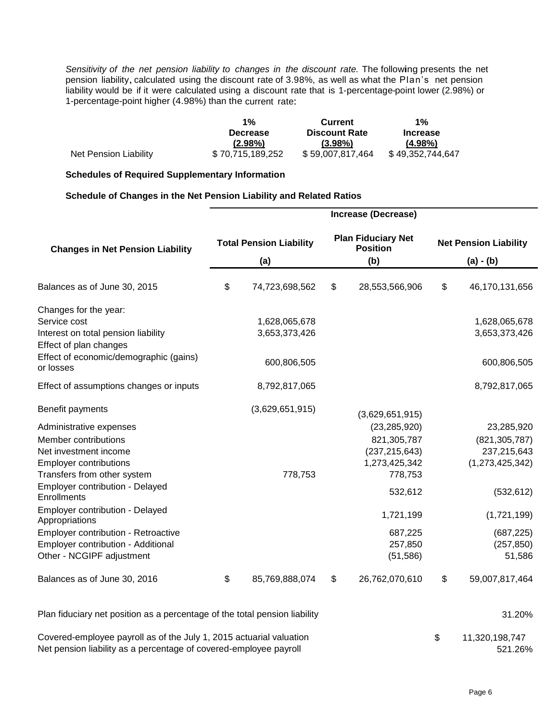*Sensitivity of the net pension liability to changes in the discount rate.* The following presents the net pension liability, calculated using the discount rate of 3.98%, as well as what the Plan's net pension liability would be if it were calculated using a discount rate that is 1-percentage-point lower (2.98%) or 1-percentage-point higher (4.98%) than the current rate:

|                       | $1\%$            | <b>Current</b>       | $1\%$            |
|-----------------------|------------------|----------------------|------------------|
|                       | <b>Decrease</b>  | <b>Discount Rate</b> | <b>Increase</b>  |
|                       | $(2.98\%)$       | $(3.98\%)$           | $(4.98\%)$       |
| Net Pension Liability | \$70,715,189,252 | \$59,007,817,464     | \$49,352,744,647 |

#### **Schedules of Required Supplementary Information**

# **Schedule of Changes in the Net Pension Liability and Related Ratios**

|                                                                                                                                                             | <b>Increase (Decrease)</b>            |                                |                                                     |                                                                              |    |                                                                 |
|-------------------------------------------------------------------------------------------------------------------------------------------------------------|---------------------------------------|--------------------------------|-----------------------------------------------------|------------------------------------------------------------------------------|----|-----------------------------------------------------------------|
| <b>Changes in Net Pension Liability</b>                                                                                                                     | <b>Total Pension Liability</b><br>(a) |                                | <b>Plan Fiduciary Net</b><br><b>Position</b><br>(b) | <b>Net Pension Liability</b><br>$(a) - (b)$                                  |    |                                                                 |
| Balances as of June 30, 2015                                                                                                                                | \$                                    | 74,723,698,562                 | \$                                                  | 28,553,566,906                                                               | \$ | 46,170,131,656                                                  |
| Changes for the year:<br>Service cost<br>Interest on total pension liability<br>Effect of plan changes<br>Effect of economic/demographic (gains)            |                                       | 1,628,065,678<br>3,653,373,426 |                                                     |                                                                              |    | 1,628,065,678<br>3,653,373,426                                  |
| or losses<br>Effect of assumptions changes or inputs                                                                                                        |                                       | 600,806,505<br>8,792,817,065   |                                                     |                                                                              |    | 600,806,505<br>8,792,817,065                                    |
| Benefit payments                                                                                                                                            |                                       | (3,629,651,915)                |                                                     | (3,629,651,915)                                                              |    |                                                                 |
| Administrative expenses<br>Member contributions<br>Net investment income<br><b>Employer contributions</b><br>Transfers from other system                    |                                       | 778,753                        |                                                     | (23, 285, 920)<br>821,305,787<br>(237, 215, 643)<br>1,273,425,342<br>778,753 |    | 23,285,920<br>(821, 305, 787)<br>237,215,643<br>(1,273,425,342) |
| Employer contribution - Delayed<br>Enrollments                                                                                                              |                                       |                                |                                                     | 532,612                                                                      |    | (532, 612)                                                      |
| Employer contribution - Delayed<br>Appropriations<br>Employer contribution - Retroactive<br>Employer contribution - Additional<br>Other - NCGIPF adjustment |                                       |                                |                                                     | 1,721,199<br>687,225<br>257,850<br>(51, 586)                                 |    | (1,721,199)<br>(687, 225)<br>(257, 850)<br>51,586               |
| Balances as of June 30, 2016                                                                                                                                | \$                                    | 85,769,888,074                 | \$                                                  | 26,762,070,610                                                               | \$ | 59,007,817,464                                                  |
| Plan fiduciary net position as a percentage of the total pension liability                                                                                  |                                       |                                |                                                     |                                                                              |    | 31.20%                                                          |

Covered-employee payroll as of the July 1, 2015 actuarial valuation  $$31,320,198,747$ Net pension liability as a percentage of covered-employee payroll 621.26%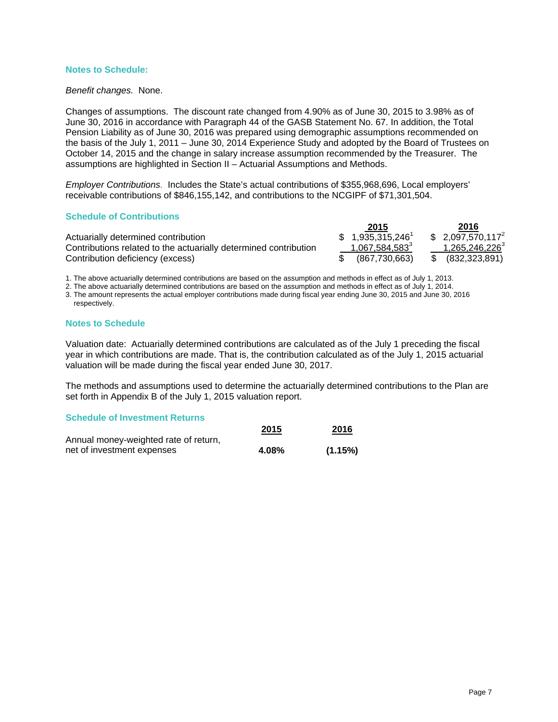#### **Notes to Schedule:**

*Benefit changes.* None.

Changes of assumptions. The discount rate changed from 4.90% as of June 30, 2015 to 3.98% as of June 30, 2016 in accordance with Paragraph 44 of the GASB Statement No. 67. In addition, the Total Pension Liability as of June 30, 2016 was prepared using demographic assumptions recommended on the basis of the July 1, 2011 – June 30, 2014 Experience Study and adopted by the Board of Trustees on October 14, 2015 and the change in salary increase assumption recommended by the Treasurer. The assumptions are highlighted in Section II – Actuarial Assumptions and Methods.

*Employer Contributions.* Includes the State's actual contributions of \$355,968,696, Local employers' receivable contributions of \$846,155,142, and contributions to the NCGIPF of \$71,301,504.

#### **Schedule of Contributions**

|                                                                  | 2015                          | 2016                       |
|------------------------------------------------------------------|-------------------------------|----------------------------|
| Actuarially determined contribution                              | $$1,935,315,246$ <sup>1</sup> | $$2,097,570,117^2$         |
| Contributions related to the actuarially determined contribution | 1,067,584,583 <sup>3</sup>    | 1,265,246,226 <sup>3</sup> |
| Contribution deficiency (excess)                                 | (867.730.663)                 | \$ (832,323,891)           |

1. The above actuarially determined contributions are based on the assumption and methods in effect as of July 1, 2013.

2. The above actuarially determined contributions are based on the assumption and methods in effect as of July 1, 2014.

3. The amount represents the actual employer contributions made during fiscal year ending June 30, 2015 and June 30, 2016 respectively.

#### **Notes to Schedule**

Valuation date: Actuarially determined contributions are calculated as of the July 1 preceding the fiscal year in which contributions are made. That is, the contribution calculated as of the July 1, 2015 actuarial valuation will be made during the fiscal year ended June 30, 2017.

The methods and assumptions used to determine the actuarially determined contributions to the Plan are set forth in Appendix B of the July 1, 2015 valuation report.

#### **Schedule of Investment Returns**

|                                       | 2015  | 2016    |
|---------------------------------------|-------|---------|
| Annual money-weighted rate of return, |       |         |
| net of investment expenses            | 4.08% | (1.15%) |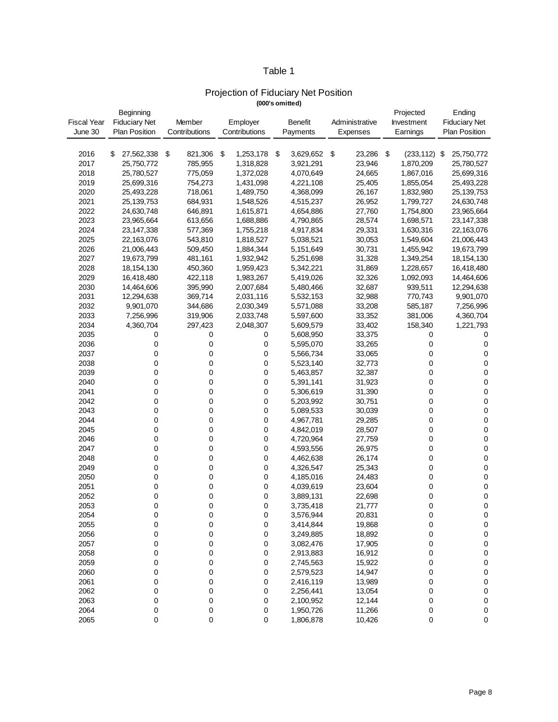# Table 1

# Projection of Fiduciary Net Position

|  | (000's omitted) |
|--|-----------------|
|--|-----------------|

|                    | Beginning            |               |                 |                 |                | Projected             | Ending               |
|--------------------|----------------------|---------------|-----------------|-----------------|----------------|-----------------------|----------------------|
| <b>Fiscal Year</b> | <b>Fiduciary Net</b> | Member        | Employer        | Benefit         | Administrative | Investment            | <b>Fiduciary Net</b> |
| June 30            | <b>Plan Position</b> | Contributions | Contributions   | Payments        | Expenses       | Earnings              | <b>Plan Position</b> |
|                    |                      |               |                 |                 |                |                       |                      |
| 2016               | 27,562,338<br>\$     | \$<br>821,306 | 1,253,178<br>\$ | \$<br>3,629,652 | \$<br>23,286   | \$<br>$(233, 112)$ \$ | 25,750,772           |
| 2017               | 25,750,772           | 785,955       | 1,318,828       | 3,921,291       | 23,946         | 1,870,209             | 25,780,527           |
| 2018               | 25,780,527           | 775,059       | 1,372,028       | 4,070,649       | 24,665         | 1,867,016             | 25,699,316           |
| 2019               | 25,699,316           | 754,273       | 1,431,098       | 4,221,108       | 25,405         | 1,855,054             | 25,493,228           |
| 2020               | 25,493,228           | 718,061       | 1,489,750       | 4,368,099       | 26,167         | 1,832,980             | 25, 139, 753         |
| 2021               | 25,139,753           | 684,931       | 1,548,526       | 4,515,237       | 26,952         | 1,799,727             | 24,630,748           |
| 2022               | 24,630,748           | 646,891       | 1,615,871       | 4,654,886       | 27,760         | 1,754,800             | 23,965,664           |
| 2023               | 23,965,664           | 613,656       | 1,688,886       | 4,790,865       | 28,574         | 1,698,571             | 23,147,338           |
| 2024               | 23, 147, 338         | 577,369       | 1,755,218       | 4,917,834       | 29,331         | 1,630,316             | 22,163,076           |
| 2025               | 22,163,076           | 543,810       | 1,818,527       | 5,038,521       | 30,053         | 1,549,604             | 21,006,443           |
| 2026               | 21,006,443           | 509,450       | 1,884,344       | 5,151,649       | 30,731         | 1,455,942             | 19,673,799           |
| 2027               | 19,673,799           | 481,161       | 1,932,942       | 5,251,698       | 31,328         | 1,349,254             | 18, 154, 130         |
| 2028               | 18,154,130           | 450,360       | 1,959,423       | 5,342,221       | 31,869         | 1,228,657             | 16,418,480           |
| 2029               | 16,418,480           | 422,118       | 1,983,267       | 5,419,026       | 32,326         | 1,092,093             | 14,464,606           |
| 2030               | 14,464,606           | 395,990       | 2,007,684       | 5,480,466       | 32,687         | 939,511               | 12,294,638           |
| 2031               | 12,294,638           | 369,714       | 2,031,116       | 5,532,153       | 32,988         | 770,743               | 9,901,070            |
| 2032               | 9,901,070            | 344,686       | 2,030,349       | 5,571,088       | 33,208         | 585,187               | 7,256,996            |
| 2033               | 7,256,996            | 319,906       | 2,033,748       | 5,597,600       | 33,352         | 381,006               | 4,360,704            |
| 2034               | 4,360,704            | 297,423       | 2,048,307       | 5,609,579       | 33,402         | 158,340               | 1,221,793            |
| 2035               | 0                    | 0             | 0               | 5,608,950       | 33,375         | 0                     | 0                    |
| 2036               | 0                    | 0             |                 | 5,595,070       | 33,265         | 0                     | 0                    |
| 2037               | 0                    | 0             | 0<br>0          | 5,566,734       | 33,065         | 0                     | $\pmb{0}$            |
| 2038               | 0                    | 0             | 0               | 5,523,140       | 32,773         | 0                     | 0                    |
| 2039               | 0                    | 0             | 0               |                 |                | 0                     | $\pmb{0}$            |
| 2040               |                      |               |                 | 5,463,857       | 32,387         |                       |                      |
| 2041               | 0                    | 0             | 0               | 5,391,141       | 31,923         | 0                     | $\pmb{0}$            |
|                    | 0<br>0               | 0<br>0        | 0               | 5,306,619       | 31,390         | 0                     | $\pmb{0}$            |
| 2042               |                      |               | 0               | 5,203,992       | 30,751         | 0                     | $\pmb{0}$            |
| 2043<br>2044       | 0                    | 0             | 0               | 5,089,533       | 30,039         | 0                     | $\pmb{0}$            |
|                    | 0                    | 0             | 0               | 4,967,781       | 29,285         | 0                     | $\pmb{0}$            |
| 2045               | 0                    | 0             | 0               | 4,842,019       | 28,507         | 0                     | $\pmb{0}$            |
| 2046               | 0                    | 0             | 0               | 4,720,964       | 27,759         | 0                     | $\pmb{0}$            |
| 2047               | 0                    | 0             | 0               | 4,593,556       | 26,975         | 0                     | $\pmb{0}$            |
| 2048               | 0                    | 0             | 0               | 4,462,638       | 26,174         | 0                     | $\pmb{0}$            |
| 2049               | 0                    | 0             | 0               | 4,326,547       | 25,343         | 0                     | 0                    |
| 2050               | 0                    | 0             | 0               | 4,185,016       | 24,483         | 0                     | $\pmb{0}$            |
| 2051               | 0                    | 0             | 0               | 4,039,619       | 23,604         | 0                     | $\pmb{0}$            |
| 2052               | 0                    | 0             | 0               | 3,889,131       | 22,698         | 0                     | $\pmb{0}$            |
| 2053               | 0                    | 0             | 0               | 3,735,418       | 21,777         | 0                     | 0                    |
| 2054               | 0                    | 0             | 0               | 3,576,944       | 20,831         | 0                     | $\pmb{0}$            |
| 2055               | 0                    | 0             | 0               | 3,414,844       | 19,868         | 0                     | $\pmb{0}$            |
| 2056               | 0                    | 0             | 0               | 3,249,885       | 18,892         | 0                     | $\pmb{0}$            |
| 2057               | 0                    | 0             | 0               | 3,082,476       | 17,905         | 0                     | $\pmb{0}$            |
| 2058               | 0                    | 0             | 0               | 2,913,883       | 16,912         | 0                     | $\pmb{0}$            |
| 2059               | 0                    | 0             | 0               | 2,745,563       | 15,922         | 0                     | $\pmb{0}$            |
| 2060               | 0                    | 0             | 0               | 2,579,523       | 14,947         | 0                     | $\pmb{0}$            |
| 2061               | 0                    | 0             | 0               | 2,416,119       | 13,989         | 0                     | $\pmb{0}$            |
| 2062               | 0                    | 0             | 0               | 2,256,441       | 13,054         | 0                     | $\pmb{0}$            |
| 2063               | 0                    | 0             | 0               | 2,100,952       | 12,144         | 0                     | $\pmb{0}$            |
| 2064               | 0                    | $\pmb{0}$     | 0               | 1,950,726       | 11,266         | 0                     | $\pmb{0}$            |
| 2065               | 0                    | 0             | 0               | 1,806,878       | 10,426         | 0                     | 0                    |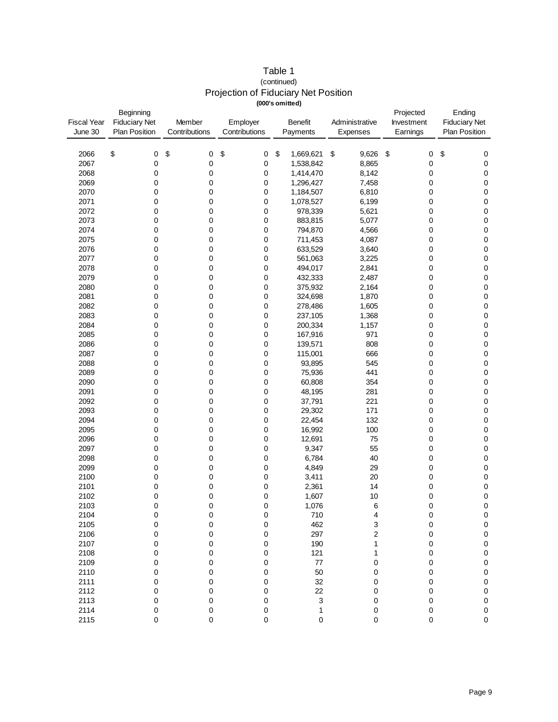| Table 1                                     |  |
|---------------------------------------------|--|
| (continued)                                 |  |
| <b>Projection of Fiduciary Net Position</b> |  |
| (000's omitted)                             |  |

| <b>Fiscal Year</b><br>June 30 | Beginning<br><b>Fiduciary Net</b><br><b>Plan Position</b> | Member<br>Contributions | Employer<br>Contributions | <b>Benefit</b><br>Payments | Administrative<br>Expenses | Projected<br>Investment<br>Earnings | Ending<br><b>Fiduciary Net</b><br><b>Plan Position</b><br>\$<br>0<br>0<br>0<br>0<br>0<br>0<br>0<br>0<br>0<br>0<br>0<br>0<br>0<br>0<br>0<br>0<br>0<br>0<br>0<br>0<br>$\pmb{0}$<br>0<br>$\pmb{0}$<br>0<br>0<br>0<br>0<br>0<br>0<br>0<br>0<br>0<br>0 |  |
|-------------------------------|-----------------------------------------------------------|-------------------------|---------------------------|----------------------------|----------------------------|-------------------------------------|---------------------------------------------------------------------------------------------------------------------------------------------------------------------------------------------------------------------------------------------------|--|
|                               |                                                           |                         |                           |                            |                            |                                     |                                                                                                                                                                                                                                                   |  |
| 2066                          | \$<br>0                                                   | \$<br>0                 | \$<br>0                   | \$<br>1,669,621            | \$<br>9,626                | \$<br>0                             |                                                                                                                                                                                                                                                   |  |
| 2067                          | 0                                                         | 0                       | 0                         | 1,538,842                  | 8,865                      | 0                                   |                                                                                                                                                                                                                                                   |  |
| 2068                          | 0                                                         | 0                       | 0                         | 1,414,470                  | 8,142                      | 0                                   |                                                                                                                                                                                                                                                   |  |
| 2069                          | 0                                                         | 0                       | 0                         | 1,296,427                  | 7,458                      | 0                                   |                                                                                                                                                                                                                                                   |  |
| 2070                          | 0                                                         | 0                       | 0                         | 1,184,507                  | 6,810                      | 0                                   |                                                                                                                                                                                                                                                   |  |
| 2071                          | 0                                                         | 0                       | 0                         | 1,078,527                  | 6,199                      | 0                                   |                                                                                                                                                                                                                                                   |  |
| 2072                          | 0                                                         | 0                       | 0                         | 978,339                    | 5,621                      | 0                                   |                                                                                                                                                                                                                                                   |  |
| 2073                          | 0                                                         | 0                       | 0                         | 883,815                    | 5,077                      | 0                                   |                                                                                                                                                                                                                                                   |  |
| 2074                          | 0                                                         | 0                       | 0                         | 794,870                    | 4,566                      | 0                                   |                                                                                                                                                                                                                                                   |  |
| 2075                          | 0                                                         | 0                       | 0                         | 711,453                    | 4,087                      | 0                                   |                                                                                                                                                                                                                                                   |  |
| 2076                          | 0                                                         | 0                       | 0                         | 633,529                    | 3,640                      | 0                                   |                                                                                                                                                                                                                                                   |  |
| 2077                          | 0                                                         | 0                       | 0                         | 561,063                    | 3,225                      | 0                                   |                                                                                                                                                                                                                                                   |  |
| 2078<br>2079                  | 0<br>0                                                    | 0<br>0                  | 0<br>0                    | 494,017<br>432,333         | 2,841<br>2,487             | 0                                   |                                                                                                                                                                                                                                                   |  |
| 2080                          | 0                                                         | 0                       | 0                         | 375,932                    | 2,164                      | 0<br>0                              |                                                                                                                                                                                                                                                   |  |
| 2081                          | 0                                                         | 0                       | 0                         | 324,698                    | 1,870                      | 0                                   |                                                                                                                                                                                                                                                   |  |
| 2082                          | 0                                                         | 0                       | 0                         | 278,486                    | 1,605                      | 0                                   |                                                                                                                                                                                                                                                   |  |
| 2083                          | 0                                                         | 0                       | 0                         | 237,105                    | 1,368                      | 0                                   |                                                                                                                                                                                                                                                   |  |
| 2084                          | 0                                                         | 0                       | 0                         | 200,334                    | 1,157                      | 0                                   |                                                                                                                                                                                                                                                   |  |
| 2085                          | 0                                                         | 0                       | 0                         | 167,916                    | 971                        | 0                                   |                                                                                                                                                                                                                                                   |  |
| 2086                          | 0                                                         | 0                       | 0                         | 139,571                    | 808                        | 0                                   |                                                                                                                                                                                                                                                   |  |
| 2087                          | 0                                                         | 0                       | 0                         | 115,001                    | 666                        | 0                                   |                                                                                                                                                                                                                                                   |  |
| 2088                          | 0                                                         | 0                       | 0                         | 93,895                     | 545                        | 0                                   |                                                                                                                                                                                                                                                   |  |
| 2089                          | 0                                                         | 0                       | 0                         | 75,936                     | 441                        | 0                                   |                                                                                                                                                                                                                                                   |  |
| 2090                          | 0                                                         | 0                       | 0                         | 60,808                     | 354                        | 0                                   |                                                                                                                                                                                                                                                   |  |
| 2091                          | 0                                                         | 0                       | 0                         | 48,195                     | 281                        | 0                                   |                                                                                                                                                                                                                                                   |  |
| 2092                          | 0                                                         | 0                       | 0                         | 37,791                     | 221                        | 0                                   |                                                                                                                                                                                                                                                   |  |
| 2093                          | 0                                                         | 0                       | 0                         | 29,302                     | 171                        | 0                                   |                                                                                                                                                                                                                                                   |  |
| 2094                          | 0                                                         | 0                       | 0                         | 22,454                     | 132                        | 0                                   |                                                                                                                                                                                                                                                   |  |
| 2095                          | 0                                                         | 0                       | 0                         | 16,992                     | 100                        | 0                                   |                                                                                                                                                                                                                                                   |  |
| 2096                          | 0                                                         | 0                       | 0                         | 12,691                     | 75                         | 0                                   |                                                                                                                                                                                                                                                   |  |
| 2097                          | 0                                                         | 0                       | 0                         | 9,347                      | 55                         | 0                                   |                                                                                                                                                                                                                                                   |  |
| 2098                          | 0                                                         | 0                       | 0                         | 6,784                      | 40                         | 0                                   |                                                                                                                                                                                                                                                   |  |
| 2099                          | 0                                                         | 0                       | 0                         | 4,849                      | 29                         | 0                                   | 0                                                                                                                                                                                                                                                 |  |
| 2100                          | 0                                                         | 0                       | 0                         | 3,411                      | 20                         | 0                                   | 0                                                                                                                                                                                                                                                 |  |
| 2101                          | 0                                                         | 0                       | 0                         | 2,361                      | 14                         | 0                                   | 0                                                                                                                                                                                                                                                 |  |
| 2102                          | 0                                                         | 0                       | 0                         | 1,607                      | 10                         | 0                                   | 0                                                                                                                                                                                                                                                 |  |
| 2103                          | 0                                                         | 0                       | 0                         | 1,076                      | 6                          | 0                                   | $\mathbf 0$                                                                                                                                                                                                                                       |  |
| 2104                          | 0                                                         | 0                       | 0                         | 710                        | 4                          | $\Omega$                            | $\overline{0}$                                                                                                                                                                                                                                    |  |
| 2105                          | 0                                                         | 0                       | 0                         | 462                        | 3                          | $\boldsymbol{0}$                    | 0                                                                                                                                                                                                                                                 |  |
| 2106                          | 0                                                         | 0                       | 0                         | 297                        | 2                          | $\mathbf 0$                         | $\pmb{0}$                                                                                                                                                                                                                                         |  |
| 2107                          | 0                                                         | 0                       | 0                         | 190                        | 1                          | 0                                   | $\pmb{0}$                                                                                                                                                                                                                                         |  |
| 2108                          | 0                                                         | 0                       | 0                         | 121                        | 1                          | 0                                   | $\mathbf 0$                                                                                                                                                                                                                                       |  |
| 2109                          | 0                                                         | 0                       | $\pmb{0}$                 | 77                         | 0                          | 0                                   | $\mathbf 0$                                                                                                                                                                                                                                       |  |
| 2110                          | 0                                                         | 0                       | 0                         | 50<br>32                   | 0                          | 0                                   | $\mathbf 0$                                                                                                                                                                                                                                       |  |
| 2111<br>2112                  | 0<br>0                                                    | 0<br>0                  | 0<br>0                    | 22                         | 0                          | 0                                   | $\pmb{0}$<br>$\mathbf 0$                                                                                                                                                                                                                          |  |
| 2113                          | 0                                                         | 0                       | 0                         | 3                          | 0<br>0                     | 0<br>0                              | $\pmb{0}$                                                                                                                                                                                                                                         |  |
| 2114                          | 0                                                         | 0                       | $\bf{0}$                  | 1                          | $\bf{0}$                   | 0                                   | $\pmb{0}$                                                                                                                                                                                                                                         |  |
| 2115                          | 0                                                         | 0                       | $\mathbf 0$               | $\mathsf 0$                | 0                          | 0                                   | 0                                                                                                                                                                                                                                                 |  |
|                               |                                                           |                         |                           |                            |                            |                                     |                                                                                                                                                                                                                                                   |  |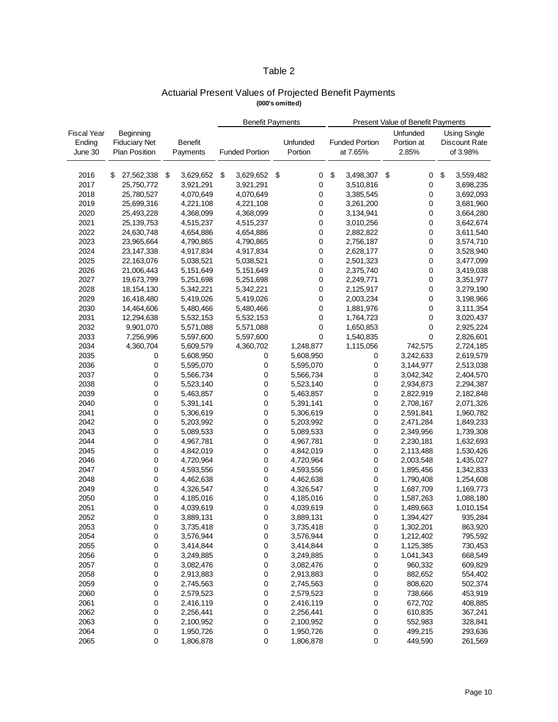# Table 2

# Actuarial Present Values of Projected Benefit Payments **(000's omitted)**

|                    |                      |                 | <b>Benefit Payments</b><br>Present Value of Benefit Payments |                       |    |             |    |                       |     |            |                      |
|--------------------|----------------------|-----------------|--------------------------------------------------------------|-----------------------|----|-------------|----|-----------------------|-----|------------|----------------------|
| <b>Fiscal Year</b> | Beginning            |                 |                                                              |                       |    |             |    |                       |     | Unfunded   | <b>Using Single</b>  |
| Ending             | <b>Fiduciary Net</b> | <b>Benefit</b>  |                                                              |                       |    | Unfunded    |    | <b>Funded Portion</b> |     | Portion at | <b>Discount Rate</b> |
| June 30            | <b>Plan Position</b> | Payments        |                                                              | <b>Funded Portion</b> |    | Portion     |    | at 7.65%              |     | 2.85%      | of 3.98%             |
|                    |                      |                 |                                                              |                       |    |             |    |                       |     |            |                      |
|                    |                      |                 |                                                              |                       |    |             |    |                       |     |            |                      |
| 2016               | \$<br>27,562,338     | \$<br>3,629,652 | \$                                                           | 3,629,652             | \$ | 0           | \$ | 3,498,307             | -\$ | 0          | \$<br>3,559,482      |
| 2017               | 25,750,772           | 3,921,291       |                                                              | 3,921,291             |    | 0           |    | 3,510,816             |     | 0          | 3,698,235            |
| 2018               | 25,780,527           | 4,070,649       |                                                              | 4,070,649             |    | $\pmb{0}$   |    | 3,385,545             |     | 0          | 3,692,093            |
| 2019               | 25,699,316           | 4,221,108       |                                                              | 4,221,108             |    | 0           |    | 3,261,200             |     | 0          | 3,681,960            |
| 2020               | 25,493,228           | 4,368,099       |                                                              | 4,368,099             |    | 0           |    | 3,134,941             |     | 0          | 3,664,280            |
| 2021               | 25,139,753           | 4,515,237       |                                                              | 4,515,237             |    | 0           |    | 3,010,256             |     | 0          | 3,642,674            |
| 2022               | 24,630,748           | 4,654,886       |                                                              | 4,654,886             |    | $\mathbf 0$ |    | 2,882,822             |     | 0          | 3,611,540            |
| 2023               | 23,965,664           | 4,790,865       |                                                              | 4,790,865             |    | 0           |    | 2,756,187             |     | 0          | 3,574,710            |
| 2024               | 23,147,338           | 4,917,834       |                                                              | 4,917,834             |    | 0           |    | 2,628,177             |     | 0          | 3,528,940            |
| 2025               | 22,163,076           | 5,038,521       |                                                              | 5,038,521             |    | 0           |    | 2,501,323             |     | 0          | 3,477,099            |
| 2026               | 21,006,443           | 5,151,649       |                                                              | 5,151,649             |    | 0           |    | 2,375,740             |     | 0          | 3,419,038            |
| 2027               | 19,673,799           | 5,251,698       |                                                              | 5,251,698             |    | 0           |    | 2,249,771             |     | 0          | 3,351,977            |
| 2028               | 18,154,130           | 5,342,221       |                                                              | 5,342,221             |    | 0           |    | 2,125,917             |     | 0          | 3,279,190            |
| 2029               | 16,418,480           | 5,419,026       |                                                              | 5,419,026             |    | $\pmb{0}$   |    | 2,003,234             |     | 0          | 3,198,966            |
| 2030               | 14,464,606           | 5,480,466       |                                                              | 5,480,466             |    | 0           |    | 1,881,976             |     | 0          | 3,111,354            |
| 2031               | 12,294,638           | 5,532,153       |                                                              | 5,532,153             |    | 0           |    | 1,764,723             |     | 0          | 3,020,437            |
| 2032               | 9,901,070            | 5,571,088       |                                                              | 5,571,088             |    | 0           |    | 1,650,853             |     | 0          | 2,925,224            |
| 2033               | 7,256,996            | 5,597,600       |                                                              | 5,597,600             |    | $\pmb{0}$   |    | 1,540,835             |     | 0          | 2,826,601            |
| 2034               | 4,360,704            | 5,609,579       |                                                              | 4,360,702             |    | 1,248,877   |    | 1,115,056             |     | 742,575    | 2,724,185            |
| 2035               | 0                    | 5,608,950       |                                                              | 0                     |    | 5,608,950   |    | 0                     |     | 3,242,633  | 2,619,579            |
| 2036               | 0                    | 5,595,070       |                                                              | 0                     |    | 5,595,070   |    | 0                     |     | 3,144,977  | 2,513,038            |
| 2037               | 0                    | 5,566,734       |                                                              | 0                     |    | 5,566,734   |    | 0                     |     | 3,042,342  | 2,404,570            |
| 2038               | 0                    | 5,523,140       |                                                              | 0                     |    | 5,523,140   |    | 0                     |     | 2,934,873  | 2,294,387            |
| 2039               | 0                    | 5,463,857       |                                                              | 0                     |    | 5,463,857   |    | 0                     |     | 2,822,919  | 2,182,848            |
| 2040               | 0                    | 5,391,141       |                                                              | 0                     |    | 5,391,141   |    | 0                     |     | 2,708,167  | 2,071,326            |
| 2041               | 0                    | 5,306,619       |                                                              | 0                     |    | 5,306,619   |    | 0                     |     | 2,591,841  | 1,960,782            |
| 2042               | 0                    | 5,203,992       |                                                              | 0                     |    | 5,203,992   |    | 0                     |     | 2,471,284  | 1,849,233            |
| 2043               | 0                    | 5,089,533       |                                                              | 0                     |    | 5,089,533   |    | 0                     |     | 2,349,956  | 1,739,308            |
| 2044               | 0                    | 4,967,781       |                                                              | 0                     |    | 4,967,781   |    | 0                     |     | 2,230,181  | 1,632,693            |
| 2045               | 0                    | 4,842,019       |                                                              | 0                     |    | 4,842,019   |    | 0                     |     | 2,113,488  | 1,530,426            |
| 2046               | 0                    | 4,720,964       |                                                              | 0                     |    | 4,720,964   |    | 0                     |     | 2,003,548  | 1,435,027            |
| 2047               | 0                    | 4,593,556       |                                                              | 0                     |    | 4,593,556   |    | 0                     |     | 1,895,456  | 1,342,833            |
| 2048               | 0                    | 4,462,638       |                                                              | 0                     |    | 4,462,638   |    | 0                     |     | 1,790,408  | 1,254,608            |
| 2049               | 0                    | 4,326,547       |                                                              | 0                     |    | 4,326,547   |    | 0                     |     | 1,687,709  | 1,169,773            |
| 2050               | 0                    | 4,185,016       |                                                              | 0                     |    | 4,185,016   |    | 0                     |     | 1,587,263  | 1,088,180            |
| 2051               | 0                    | 4,039,619       |                                                              | 0                     |    | 4,039,619   |    | 0                     |     | 1,489,663  | 1,010,154            |
| 2052               | 0                    | 3,889,131       |                                                              | 0                     |    | 3,889,131   |    | 0                     |     | 1,394,427  | 935,284              |
| 2053               | 0                    | 3,735,418       |                                                              | 0                     |    | 3,735,418   |    | 0                     |     | 1,302,201  | 863,920              |
| 2054               | 0                    | 3,576,944       |                                                              | 0                     |    | 3,576,944   |    | 0                     |     | 1,212,402  | 795,592              |
| 2055               | 0                    | 3,414,844       |                                                              | 0                     |    | 3,414,844   |    | 0                     |     | 1,125,385  | 730,453              |
| 2056               | 0                    | 3,249,885       |                                                              | 0                     |    | 3,249,885   |    | 0                     |     | 1,041,343  | 668,549              |
| 2057               | 0                    | 3,082,476       |                                                              | 0                     |    | 3,082,476   |    | 0                     |     | 960,332    | 609,829              |
| 2058               | 0                    | 2,913,883       |                                                              | 0                     |    | 2,913,883   |    | 0                     |     | 882,652    | 554,402              |
| 2059               | 0                    | 2,745,563       |                                                              | 0                     |    | 2,745,563   |    | 0                     |     | 808,620    | 502,374              |
| 2060               | 0                    | 2,579,523       |                                                              | 0                     |    | 2,579,523   |    | 0                     |     | 738,666    | 453,919              |
| 2061               | 0                    | 2,416,119       |                                                              | 0                     |    | 2,416,119   |    | 0                     |     | 672,702    | 408,885              |
| 2062               | 0                    | 2,256,441       |                                                              | 0                     |    | 2,256,441   |    | 0                     |     | 610,835    | 367,241              |
| 2063               | 0                    | 2,100,952       |                                                              | 0                     |    | 2,100,952   |    | 0                     |     | 552,983    | 328,841              |
| 2064               | 0                    | 1,950,726       |                                                              | 0                     |    | 1,950,726   |    | 0                     |     | 499,215    | 293,636              |
| 2065               | $\mathsf 0$          | 1,806,878       |                                                              | 0                     |    | 1,806,878   |    | 0                     |     | 449,590    | 261,569              |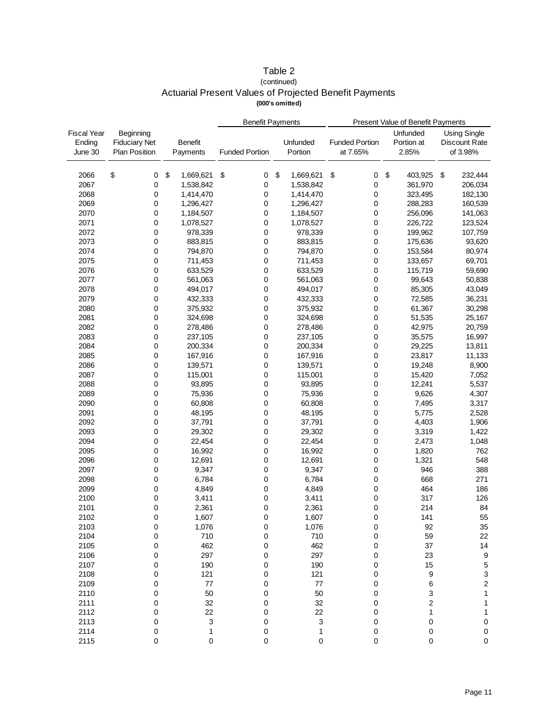# Table 2 (continued) Actuarial Present Values of Projected Benefit Payments **(000's omitted)**

|                    |                      |                 | <b>Benefit Payments</b> |                 | Present Value of Benefit Payments |                         |                           |  |  |
|--------------------|----------------------|-----------------|-------------------------|-----------------|-----------------------------------|-------------------------|---------------------------|--|--|
| <b>Fiscal Year</b> | Beginning            |                 |                         |                 |                                   | Unfunded                | <b>Using Single</b>       |  |  |
| Ending             | <b>Fiduciary Net</b> | <b>Benefit</b>  |                         | Unfunded        | <b>Funded Portion</b>             | Portion at              | Discount Rate             |  |  |
| June 30            | <b>Plan Position</b> | Payments        | <b>Funded Portion</b>   | Portion         | at 7.65%                          | 2.85%                   | of 3.98%                  |  |  |
|                    |                      |                 |                         |                 |                                   |                         |                           |  |  |
|                    |                      |                 |                         |                 |                                   |                         |                           |  |  |
| 2066               | \$<br>0              | \$<br>1,669,621 | \$<br>0                 | \$<br>1,669,621 | \$<br>0                           | \$<br>403,925           | \$<br>232,444             |  |  |
| 2067               | 0                    | 1,538,842       | 0                       | 1,538,842       | 0                                 | 361,970                 | 206,034                   |  |  |
| 2068               | 0                    | 1,414,470       | 0                       | 1,414,470       | 0                                 | 323,495                 | 182,130                   |  |  |
| 2069               | 0                    | 1,296,427       | 0                       | 1,296,427       | 0                                 | 288,283                 | 160,539                   |  |  |
| 2070               | 0                    | 1,184,507       | 0                       | 1,184,507       | 0                                 | 256,096                 | 141,063                   |  |  |
| 2071               | 0                    | 1,078,527       | 0                       | 1,078,527       | 0                                 | 226,722                 | 123,524                   |  |  |
| 2072               | 0                    | 978,339         | 0                       | 978,339         | 0                                 | 199,962                 | 107,759                   |  |  |
| 2073               | 0                    | 883,815         | 0                       | 883,815         | 0                                 | 175,636                 | 93,620                    |  |  |
| 2074               | 0                    | 794,870         | 0                       | 794,870         | 0                                 | 153,584                 | 80,974                    |  |  |
| 2075               | 0                    | 711,453         | 0                       | 711,453         | 0                                 | 133,657                 | 69,701                    |  |  |
| 2076               | 0                    | 633,529         | 0                       | 633,529         | 0                                 | 115,719                 | 59,690                    |  |  |
| 2077               | 0                    | 561,063         | 0                       | 561,063         | 0                                 | 99,643                  | 50,838                    |  |  |
| 2078               | 0                    | 494,017         | 0                       | 494,017         | 0                                 | 85,305                  | 43,049                    |  |  |
| 2079               | 0                    | 432,333         | 0                       | 432,333         | 0                                 | 72,585                  | 36,231                    |  |  |
| 2080               | 0                    | 375,932         | 0                       | 375,932         | 0                                 | 61,367                  | 30,298                    |  |  |
| 2081               | 0                    | 324,698         | 0                       | 324,698         | 0                                 | 51,535                  | 25,167                    |  |  |
| 2082               | 0                    | 278,486         | 0                       | 278,486         | 0                                 | 42,975                  | 20,759                    |  |  |
| 2083               | 0                    | 237,105         | 0                       | 237,105         | 0                                 | 35,575                  | 16,997                    |  |  |
| 2084               | 0                    | 200,334         | 0                       | 200,334         | 0                                 | 29,225                  | 13,811                    |  |  |
| 2085               | 0                    | 167,916         | 0                       | 167,916         | 0                                 | 23,817                  | 11,133                    |  |  |
| 2086               | 0                    | 139,571         | 0                       | 139,571         | 0                                 | 19,248                  | 8,900                     |  |  |
| 2087               | 0                    | 115,001         | 0                       | 115,001         | 0                                 | 15,420                  | 7,052                     |  |  |
| 2088               | 0                    | 93,895          | 0                       | 93,895          | 0                                 | 12,241                  | 5,537                     |  |  |
| 2089               | 0                    | 75,936          | 0                       | 75,936          | 0                                 | 9,626                   | 4,307                     |  |  |
| 2090               | 0                    | 60,808          | 0                       | 60,808          | 0                                 | 7,495                   | 3,317                     |  |  |
| 2091               | 0                    | 48,195          | 0                       | 48,195          | 0                                 | 5,775                   | 2,528                     |  |  |
| 2092               | 0                    | 37,791          | 0                       | 37,791          | 0                                 | 4,403                   | 1,906                     |  |  |
| 2093               |                      |                 |                         |                 |                                   |                         |                           |  |  |
|                    | 0                    | 29,302          | 0                       | 29,302          | 0                                 | 3,319                   | 1,422                     |  |  |
| 2094               | 0                    | 22,454          | 0                       | 22,454          | 0                                 | 2,473                   | 1,048                     |  |  |
| 2095               | 0                    | 16,992          | 0                       | 16,992          | 0                                 | 1,820                   | 762                       |  |  |
| 2096               | 0                    | 12,691          | 0                       | 12,691          | 0                                 | 1,321                   | 548                       |  |  |
| 2097               | 0                    | 9,347           | 0                       | 9,347           | 0                                 | 946                     | 388                       |  |  |
| 2098               | 0                    | 6,784           | 0                       | 6,784           | 0                                 | 668                     | 271                       |  |  |
| 2099               | 0                    | 4,849           | 0                       | 4,849           | 0                                 | 464                     | 186                       |  |  |
| 2100               | 0                    | 3,411           | 0                       | 3,411           | 0                                 | 317                     | 126                       |  |  |
| 2101               | 0                    | 2,361           | 0                       | 2,361           | 0                                 | 214                     | 84                        |  |  |
| 2102               | 0                    | 1,607           | 0                       | 1,607           | 0                                 | 141                     | 55                        |  |  |
| 2103               | 0                    | 1,076           | 0                       | 1,076           | 0                                 | 92                      | 35                        |  |  |
| 2104               | 0                    | 710             | 0                       | 710             | 0                                 | 59                      | 22                        |  |  |
| 2105               | 0                    | 462             | 0                       | 462             | 0                                 | 37                      | 14                        |  |  |
| 2106               | 0                    | 297             | 0                       | 297             | 0                                 | 23                      | $\boldsymbol{9}$          |  |  |
| 2107               | 0                    | 190             | 0                       | 190             | 0                                 | 15                      | $\,$ 5 $\,$               |  |  |
| 2108               | 0                    | 121             | 0                       | 121             | 0                                 | 9                       | $\ensuremath{\mathsf{3}}$ |  |  |
| 2109               | 0                    | 77              | 0                       | $77\,$          | 0                                 | 6                       | $\mathbf 2$               |  |  |
| 2110               | 0                    | 50              | 0                       | 50              | 0                                 | 3                       | $\mathbf{1}$              |  |  |
| 2111               | 0                    | 32              | 0                       | 32              | 0                                 | $\overline{\mathbf{c}}$ | 1                         |  |  |
| 2112               | 0                    | 22              | 0                       | 22              | 0                                 | 1                       | 1                         |  |  |
| 2113               | 0                    | 3               | 0                       | 3               | 0                                 | 0                       | 0                         |  |  |
| 2114               | 0                    | $\mathbf{1}$    | $\pmb{0}$               | 1               | 0                                 | $\pmb{0}$               | $\pmb{0}$                 |  |  |
| 2115               | $\pmb{0}$            | 0               | 0                       | 0               | $\mathbf 0$                       | $\mathbf 0$             | $\pmb{0}$                 |  |  |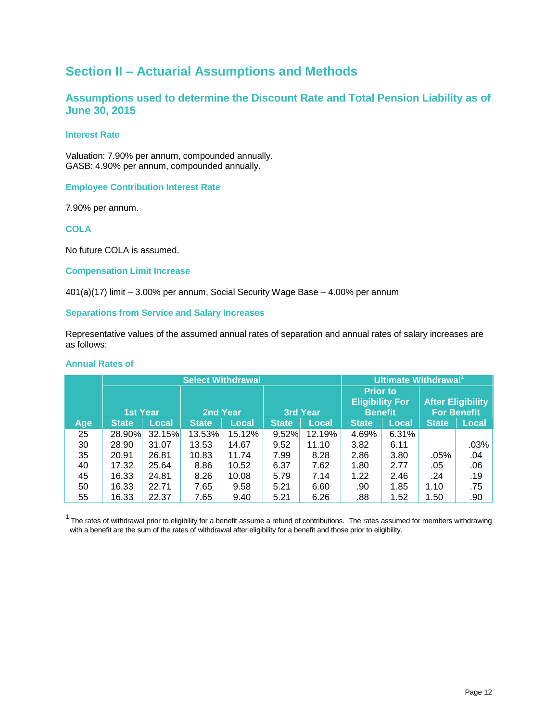# **Section II – Actuarial Assumptions and Methods**

# **Assumptions used to determine the Discount Rate and Total Pension Liability as of June 30, 2015**

# **Interest Rate**

Valuation: 7.90% per annum, compounded annually. GASB: 4.90% per annum, compounded annually.

# **Employee Contribution Interest Rate**

7.90% per annum.

**COLA** 

No future COLA is assumed.

# **Compensation Limit Increase**

401(a)(17) limit – 3.00% per annum, Social Security Wage Base – 4.00% per annum

# **Separations from Service and Salary Increases**

Representative values of the assumed annual rates of separation and annual rates of salary increases are as follows:

#### **Annual Rates of**

|     |                 |              | <b>Select Withdrawal</b> |        |              |                 | Ultimate Withdrawal <sup>1</sup> |              |              |                          |  |  |
|-----|-----------------|--------------|--------------------------|--------|--------------|-----------------|----------------------------------|--------------|--------------|--------------------------|--|--|
|     |                 |              |                          |        |              |                 | <b>Prior to</b>                  |              |              |                          |  |  |
|     |                 |              |                          |        |              |                 | <b>Eligibility For</b>           |              |              | <b>After Eligibility</b> |  |  |
|     | <b>1st Year</b> |              | 2nd Year                 |        |              | <b>3rd Year</b> | <b>Benefit</b>                   |              |              | <b>For Benefit</b>       |  |  |
| Age | <b>State</b>    | <b>Local</b> | <b>State</b>             | Local  | <b>State</b> | Local           | <b>State</b>                     | <b>Local</b> | <b>State</b> | Local                    |  |  |
| 25  | 28.90%          | 32.15%       | 13.53%                   | 15.12% | 9.52%        | 12.19%          | 4.69%                            | 6.31%        |              |                          |  |  |
| 30  | 28.90           | 31.07        | 13.53                    | 14.67  | 9.52         | 11.10           | 3.82                             | 6.11         |              | $.03\%$                  |  |  |
| 35  | 20.91           | 26.81        | 10.83                    | 11.74  | 7.99         | 8.28            | 2.86                             | 3.80         | .05%         | .04                      |  |  |
| 40  | 17.32           | 25.64        | 8.86                     | 10.52  | 6.37         | 7.62            | 1.80                             | 2.77         | .05          | .06                      |  |  |
| 45  | 16.33           | 24.81        | 8.26                     | 10.08  | 5.79         | 7.14            | 1.22                             | 2.46         | .24          | .19                      |  |  |
| 50  | 16.33           | 22.71        | 7.65                     | 9.58   | 5.21         | 6.60            | .90                              | 1.85         | 1.10         | .75                      |  |  |
| 55  | 16.33           | 22.37        | 7.65                     | 9.40   | 5.21         | 6.26            | .88                              | 1.52         | 1.50         | .90                      |  |  |

 $1$  The rates of withdrawal prior to eligibility for a benefit assume a refund of contributions. The rates assumed for members withdrawing with a benefit are the sum of the rates of withdrawal after eligibility for a benefit and those prior to eligibility.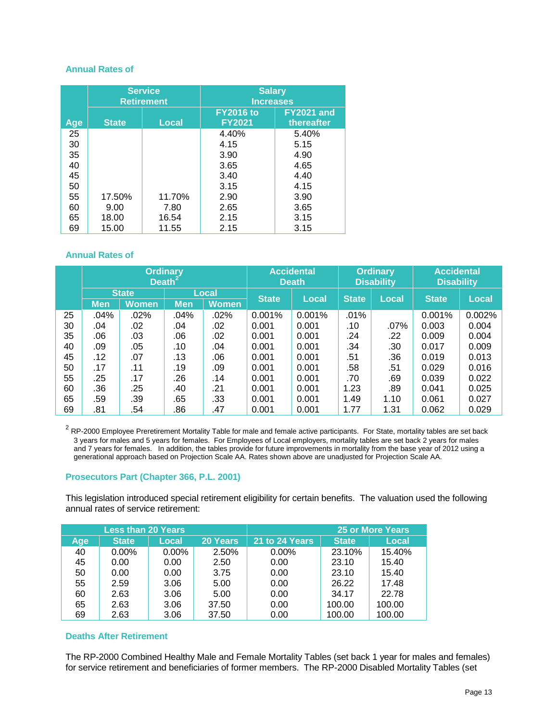# **Annual Rates of**

|            |              | <b>Service</b><br><b>Retirement</b> | <b>Salary</b><br><b>Increases</b> |                                 |  |  |  |  |
|------------|--------------|-------------------------------------|-----------------------------------|---------------------------------|--|--|--|--|
| <b>Age</b> | <b>State</b> | Local                               | <b>FY2016 to</b><br><b>FY2021</b> | <b>FY2021 and</b><br>thereafter |  |  |  |  |
| 25         |              |                                     | 4.40%                             | 5.40%                           |  |  |  |  |
| 30         |              |                                     | 4.15                              | 5.15                            |  |  |  |  |
| 35         |              |                                     | 3.90                              | 4.90                            |  |  |  |  |
| 40         |              |                                     | 3.65                              | 4.65                            |  |  |  |  |
| 45         |              |                                     | 3.40                              | 4.40                            |  |  |  |  |
| 50         |              |                                     | 3.15                              | 4.15                            |  |  |  |  |
| 55         | 17.50%       | 11.70%                              | 2.90                              | 3.90                            |  |  |  |  |
| 60         | 9.00         | 7.80                                | 2.65                              | 3.65                            |  |  |  |  |
| 65         | 18.00        | 16.54                               | 2.15                              | 3.15                            |  |  |  |  |
| 69         | 15.00        | 11.55                               | 2.15                              | 3.15                            |  |  |  |  |

# **Annual Rates of**

|    | <b>Ordinary</b><br>Death <sup>®</sup> |              |            |              |              | <b>Accidental</b><br><b>Death</b> |              | <b>Ordinary</b><br><b>Disability</b> | <b>Accidental</b><br><b>Disability</b> |        |  |
|----|---------------------------------------|--------------|------------|--------------|--------------|-----------------------------------|--------------|--------------------------------------|----------------------------------------|--------|--|
|    |                                       | <b>State</b> |            | Local        | <b>State</b> | Local                             | <b>State</b> | Local                                | <b>State</b>                           | Local  |  |
|    | <b>Men</b>                            | <b>Women</b> | <b>Men</b> | <b>Women</b> |              |                                   |              |                                      |                                        |        |  |
| 25 | .04%                                  | .02%         | .04%       | .02%         | 0.001%       | 0.001%                            | .01%         |                                      | 0.001%                                 | 0.002% |  |
| 30 | .04                                   | .02          | .04        | .02          | 0.001        | 0.001                             | .10          | $.07\%$                              | 0.003                                  | 0.004  |  |
| 35 | .06                                   | .03          | .06        | .02          | 0.001        | 0.001                             | .24          | .22                                  | 0.009                                  | 0.004  |  |
| 40 | .09                                   | .05          | .10        | .04          | 0.001        | 0.001                             | .34          | .30                                  | 0.017                                  | 0.009  |  |
| 45 | .12                                   | .07          | .13        | .06          | 0.001        | 0.001                             | .51          | .36                                  | 0.019                                  | 0.013  |  |
| 50 | .17                                   | .11          | .19        | .09          | 0.001        | 0.001                             | .58          | .51                                  | 0.029                                  | 0.016  |  |
| 55 | .25                                   | .17          | .26        | .14          | 0.001        | 0.001                             | .70          | .69                                  | 0.039                                  | 0.022  |  |
| 60 | .36                                   | .25          | .40        | .21          | 0.001        | 0.001                             | 1.23         | .89                                  | 0.041                                  | 0.025  |  |
| 65 | .59                                   | .39          | .65        | .33          | 0.001        | 0.001                             | 1.49         | 1.10                                 | 0.061                                  | 0.027  |  |
| 69 | .81                                   | .54          | .86        | .47          | 0.001        | 0.001                             | 1.77         | 1.31                                 | 0.062                                  | 0.029  |  |

 $^2$  RP-2000 Employee Preretirement Mortality Table for male and female active participants. For State, mortality tables are set back 3 years for males and 5 years for females. For Employees of Local employers, mortality tables are set back 2 years for males and 7 years for females. In addition, the tables provide for future improvements in mortality from the base year of 2012 using a generational approach based on Projection Scale AA. Rates shown above are unadjusted for Projection Scale AA.

# **Prosecutors Part (Chapter 366, P.L. 2001)**

This legislation introduced special retirement eligibility for certain benefits. The valuation used the following annual rates of service retirement:

|     | <b>Less than 20 Years</b> |       |          |                |              | 25 or More Years |
|-----|---------------------------|-------|----------|----------------|--------------|------------------|
| Age | <b>State</b>              | Local | 20 Years | 21 to 24 Years | <b>State</b> | <b>Local</b>     |
| 40  | $0.00\%$                  | 0.00% | 2.50%    | $0.00\%$       | 23.10%       | 15.40%           |
| 45  | 0.00                      | 0.00  | 2.50     | 0.00           | 23.10        | 15.40            |
| 50  | 0.00                      | 0.00  | 3.75     | 0.00           | 23.10        | 15.40            |
| 55  | 2.59                      | 3.06  | 5.00     | 0.00           | 26.22        | 17.48            |
| 60  | 2.63                      | 3.06  | 5.00     | 0.00           | 34.17        | 22.78            |
| 65  | 2.63                      | 3.06  | 37.50    | 0.00           | 100.00       | 100.00           |
| 69  | 2.63                      | 3.06  | 37.50    | 0.00           | 100.00       | 100.00           |

# **Deaths After Retirement**

The RP-2000 Combined Healthy Male and Female Mortality Tables (set back 1 year for males and females) for service retirement and beneficiaries of former members. The RP-2000 Disabled Mortality Tables (set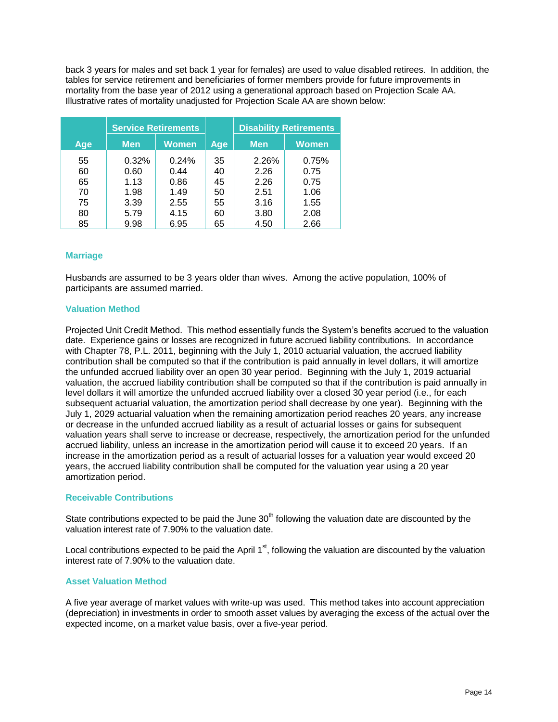back 3 years for males and set back 1 year for females) are used to value disabled retirees. In addition, the tables for service retirement and beneficiaries of former members provide for future improvements in mortality from the base year of 2012 using a generational approach based on Projection Scale AA. Illustrative rates of mortality unadjusted for Projection Scale AA are shown below:

|     |            | <b>Service Retirements</b> |     |            | <b>Disability Retirements</b> |
|-----|------------|----------------------------|-----|------------|-------------------------------|
| Age | <b>Men</b> | <b>Women</b>               | Age | <b>Men</b> | <b>Women</b>                  |
| 55  | 0.32%      | 0.24%                      | 35  | 2.26%      | 0.75%                         |
| 60  | 0.60       | 0.44                       | 40  | 2.26       | 0.75                          |
| 65  | 1.13       | 0.86                       | 45  | 2.26       | 0.75                          |
| 70  | 1.98       | 1.49                       | 50  | 2.51       | 1.06                          |
| 75  | 3.39       | 2.55                       | 55  | 3.16       | 1.55                          |
| 80  | 5.79       | 4.15                       | 60  | 3.80       | 2.08                          |
| 85  | 9.98       | 6.95                       | 65  | 4.50       | 2.66                          |

# **Marriage**

Husbands are assumed to be 3 years older than wives. Among the active population, 100% of participants are assumed married.

# **Valuation Method**

Projected Unit Credit Method. This method essentially funds the System's benefits accrued to the valuation date. Experience gains or losses are recognized in future accrued liability contributions. In accordance with Chapter 78, P.L. 2011, beginning with the July 1, 2010 actuarial valuation, the accrued liability contribution shall be computed so that if the contribution is paid annually in level dollars, it will amortize the unfunded accrued liability over an open 30 year period. Beginning with the July 1, 2019 actuarial valuation, the accrued liability contribution shall be computed so that if the contribution is paid annually in level dollars it will amortize the unfunded accrued liability over a closed 30 year period (i.e., for each subsequent actuarial valuation, the amortization period shall decrease by one year). Beginning with the July 1, 2029 actuarial valuation when the remaining amortization period reaches 20 years, any increase or decrease in the unfunded accrued liability as a result of actuarial losses or gains for subsequent valuation years shall serve to increase or decrease, respectively, the amortization period for the unfunded accrued liability, unless an increase in the amortization period will cause it to exceed 20 years. If an increase in the amortization period as a result of actuarial losses for a valuation year would exceed 20 years, the accrued liability contribution shall be computed for the valuation year using a 20 year amortization period.

# **Receivable Contributions**

State contributions expected to be paid the June  $30<sup>th</sup>$  following the valuation date are discounted by the valuation interest rate of 7.90% to the valuation date.

Local contributions expected to be paid the April  $1<sup>st</sup>$ , following the valuation are discounted by the valuation interest rate of 7.90% to the valuation date.

# **Asset Valuation Method**

A five year average of market values with write-up was used. This method takes into account appreciation (depreciation) in investments in order to smooth asset values by averaging the excess of the actual over the expected income, on a market value basis, over a five-year period.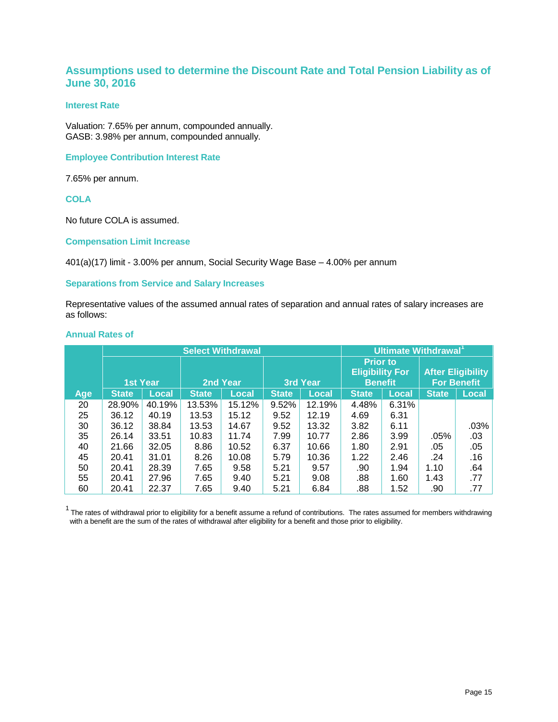# **Assumptions used to determine the Discount Rate and Total Pension Liability as of June 30, 2016**

# **Interest Rate**

Valuation: 7.65% per annum, compounded annually. GASB: 3.98% per annum, compounded annually.

# **Employee Contribution Interest Rate**

7.65% per annum.

**COLA** 

No future COLA is assumed.

# **Compensation Limit Increase**

401(a)(17) limit - 3.00% per annum, Social Security Wage Base – 4.00% per annum

# **Separations from Service and Salary Increases**

Representative values of the assumed annual rates of separation and annual rates of salary increases are as follows:

# **Annual Rates of**

|     |                 |              | <b>Select Withdrawal</b> |              |              |              |                                           | Ultimate Withdrawal <sup>1</sup> |              |                          |
|-----|-----------------|--------------|--------------------------|--------------|--------------|--------------|-------------------------------------------|----------------------------------|--------------|--------------------------|
|     |                 |              |                          |              |              |              | <b>Prior to</b><br><b>Eligibility For</b> |                                  |              | <b>After Eligibility</b> |
|     | <b>1st Year</b> |              |                          | 2nd Year     |              | 3rd Year     | <b>Benefit</b>                            |                                  |              | <b>For Benefit</b>       |
| Age | <b>State</b>    | <b>Local</b> | <b>State</b>             | <b>Local</b> | <b>State</b> | <b>Local</b> | <b>State</b>                              | <b>Local</b>                     | <b>State</b> | <b>Local</b>             |
| 20  | 28.90%          | 40.19%       | 13.53%                   | 15.12%       | 9.52%        | 12.19%       | 4.48%                                     | 6.31%                            |              |                          |
| 25  | 36.12           | 40.19        | 13.53                    | 15.12        | 9.52         | 12.19        | 4.69                                      | 6.31                             |              |                          |
| 30  | 36.12           | 38.84        | 13.53                    | 14.67        | 9.52         | 13.32        | 3.82                                      | 6.11                             |              | .03%                     |
| 35  | 26.14           | 33.51        | 10.83                    | 11.74        | 7.99         | 10.77        | 2.86                                      | 3.99                             | .05%         | .03                      |
| 40  | 21.66           | 32.05        | 8.86                     | 10.52        | 6.37         | 10.66        | 1.80                                      | 2.91                             | .05          | .05                      |
| 45  | 20.41           | 31.01        | 8.26                     | 10.08        | 5.79         | 10.36        | 1.22                                      | 2.46                             | .24          | .16                      |
| 50  | 20.41           | 28.39        | 7.65                     | 9.58         | 5.21         | 9.57         | .90                                       | 1.94                             | 1.10         | .64                      |
| 55  | 20.41           | 27.96        | 7.65                     | 9.40         | 5.21         | 9.08         | .88                                       | 1.60                             | 1.43         | .77                      |
| 60  | 20.41           | 22.37        | 7.65                     | 9.40         | 5.21         | 6.84         | .88                                       | 1.52                             | .90          | .77                      |

 $1$  The rates of withdrawal prior to eligibility for a benefit assume a refund of contributions. The rates assumed for members withdrawing with a benefit are the sum of the rates of withdrawal after eligibility for a benefit and those prior to eligibility.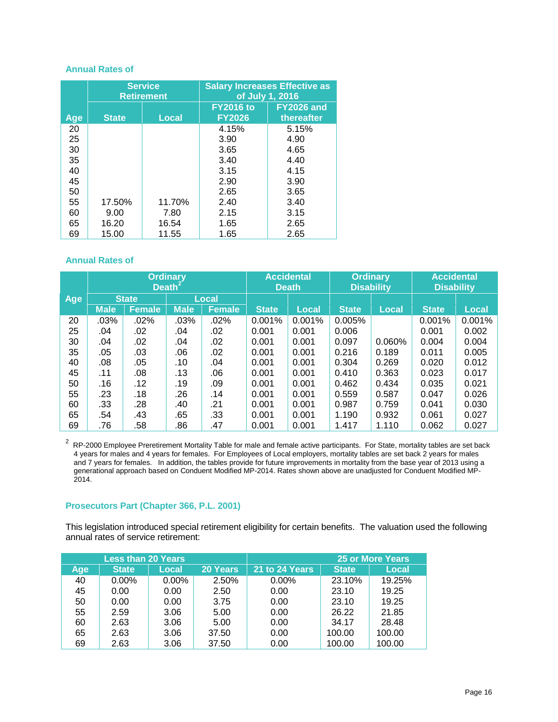#### **Annual Rates of**

|     |              | <b>Service</b><br><b>Retirement</b> | <b>Salary Increases Effective as</b><br>of July 1, 2016 |                                 |  |  |  |
|-----|--------------|-------------------------------------|---------------------------------------------------------|---------------------------------|--|--|--|
| Age | <b>State</b> | <b>Local</b>                        | <b>FY2016 to</b><br><b>FY2026</b>                       | <b>FY2026 and</b><br>thereafter |  |  |  |
| 20  |              |                                     | 4.15%                                                   | 5.15%                           |  |  |  |
| 25  |              |                                     | 3.90                                                    | 4.90                            |  |  |  |
| 30  |              |                                     | 3.65                                                    | 4.65                            |  |  |  |
| 35  |              |                                     | 3.40                                                    | 4.40                            |  |  |  |
| 40  |              |                                     | 3.15                                                    | 4.15                            |  |  |  |
| 45  |              |                                     | 2.90                                                    | 3.90                            |  |  |  |
| 50  |              |                                     | 2.65                                                    | 3.65                            |  |  |  |
| 55  | 17.50%       | 11.70%                              | 2.40                                                    | 3.40                            |  |  |  |
| 60  | 9.00         | 7.80                                | 2.15                                                    | 3.15                            |  |  |  |
| 65  | 16.20        | 16.54                               | 1.65                                                    | 2.65                            |  |  |  |
| 69  | 15.00        | 11.55                               | 1.65                                                    | 2.65                            |  |  |  |

# **Annual Rates of**

|     |             |               | <b>Ordinary</b><br>Death <sup>2</sup> |               |              | <b>Accidental</b><br><b>Death</b> |              | <b>Ordinary</b><br><b>Disability</b> | <b>Accidental</b><br><b>Disability</b> |              |
|-----|-------------|---------------|---------------------------------------|---------------|--------------|-----------------------------------|--------------|--------------------------------------|----------------------------------------|--------------|
| Age |             | <b>State</b>  |                                       | <b>Local</b>  |              |                                   |              |                                      |                                        |              |
|     | <b>Male</b> | <b>Female</b> | <b>Male</b>                           | <b>Female</b> | <b>State</b> | <b>Local</b>                      | <b>State</b> | <b>Local</b>                         | <b>State</b>                           | <b>Local</b> |
| 20  | .03%        | .02%          | .03%                                  | .02%          | 0.001%       | 0.001%                            | 0.005%       |                                      | 0.001%                                 | 0.001%       |
| 25  | .04         | .02           | .04                                   | .02           | 0.001        | 0.001                             | 0.006        |                                      | 0.001                                  | 0.002        |
| 30  | .04         | .02           | .04                                   | .02           | 0.001        | 0.001                             | 0.097        | 0.060%                               | 0.004                                  | 0.004        |
| 35  | .05         | .03           | .06                                   | .02           | 0.001        | 0.001                             | 0.216        | 0.189                                | 0.011                                  | 0.005        |
| 40  | .08         | .05           | .10                                   | .04           | 0.001        | 0.001                             | 0.304        | 0.269                                | 0.020                                  | 0.012        |
| 45  | .11         | .08           | .13                                   | .06           | 0.001        | 0.001                             | 0.410        | 0.363                                | 0.023                                  | 0.017        |
| 50  | .16         | .12           | .19                                   | .09           | 0.001        | 0.001                             | 0.462        | 0.434                                | 0.035                                  | 0.021        |
| 55  | .23         | .18           | .26                                   | .14           | 0.001        | 0.001                             | 0.559        | 0.587                                | 0.047                                  | 0.026        |
| 60  | .33         | .28           | .40                                   | .21           | 0.001        | 0.001                             | 0.987        | 0.759                                | 0.041                                  | 0.030        |
| 65  | .54         | .43           | .65                                   | .33           | 0.001        | 0.001                             | 1.190        | 0.932                                | 0.061                                  | 0.027        |
| 69  | .76         | .58           | .86                                   | .47           | 0.001        | 0.001                             | 1.417        | 1.110                                | 0.062                                  | 0.027        |

 $2$  RP-2000 Employee Preretirement Mortality Table for male and female active participants. For State, mortality tables are set back 4 years for males and 4 years for females. For Employees of Local employers, mortality tables are set back 2 years for males and 7 years for females. In addition, the tables provide for future improvements in mortality from the base year of 2013 using a generational approach based on Conduent Modified MP-2014. Rates shown above are unadjusted for Conduent Modified MP-2014.

# **Prosecutors Part (Chapter 366, P.L. 2001)**

This legislation introduced special retirement eligibility for certain benefits. The valuation used the following annual rates of service retirement:

| <b>Less than 20 Years</b> |              |       |          | <b>25 or More Years</b> |              |        |  |
|---------------------------|--------------|-------|----------|-------------------------|--------------|--------|--|
| Age                       | <b>State</b> | Local | 20 Years | 21 to 24 Years          | <b>State</b> | Local  |  |
| 40                        | $0.00\%$     | 0.00% | 2.50%    | $0.00\%$                | 23.10%       | 19.25% |  |
| 45                        | 0.00         | 0.00  | 2.50     | 0.00                    | 23.10        | 19.25  |  |
| 50                        | 0.00         | 0.00  | 3.75     | 0.00                    | 23.10        | 19.25  |  |
| 55                        | 2.59         | 3.06  | 5.00     | 0.00                    | 26.22        | 21.85  |  |
| 60                        | 2.63         | 3.06  | 5.00     | 0.00                    | 34.17        | 28.48  |  |
| 65                        | 2.63         | 3.06  | 37.50    | 0.00                    | 100.00       | 100.00 |  |
| 69                        | 2.63         | 3.06  | 37.50    | 0.00                    | 100.00       | 100.00 |  |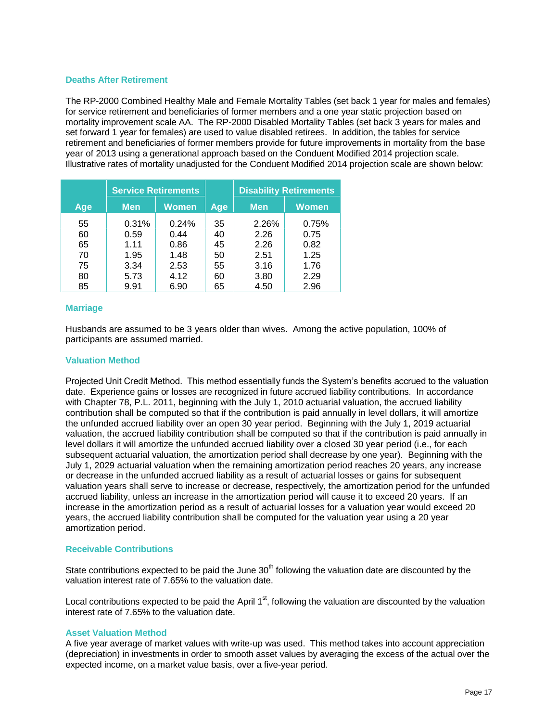# **Deaths After Retirement**

The RP-2000 Combined Healthy Male and Female Mortality Tables (set back 1 year for males and females) for service retirement and beneficiaries of former members and a one year static projection based on mortality improvement scale AA. The RP-2000 Disabled Mortality Tables (set back 3 years for males and set forward 1 year for females) are used to value disabled retirees. In addition, the tables for service retirement and beneficiaries of former members provide for future improvements in mortality from the base year of 2013 using a generational approach based on the Conduent Modified 2014 projection scale. Illustrative rates of mortality unadjusted for the Conduent Modified 2014 projection scale are shown below:

|     | <b>Service Retirements</b> |       |     | <b>Disability Retirements</b> |              |
|-----|----------------------------|-------|-----|-------------------------------|--------------|
| Age | <b>Men</b>                 | Women | Age | <b>Men</b>                    | <b>Women</b> |
| 55  | 0.31%                      | 0.24% | 35  | 2.26%                         | 0.75%        |
| 60  | 0.59                       | 0.44  | 40  | 2.26                          | 0.75         |
| 65  | 1.11                       | 0.86  | 45  | 2.26                          | 0.82         |
| 70  | 1.95                       | 1.48  | 50  | 2.51                          | 1.25         |
| 75  | 3.34                       | 2.53  | 55  | 3.16                          | 1.76         |
| 80  | 5.73                       | 4.12  | 60  | 3.80                          | 2.29         |
| 85  | 9.91                       | 6.90  | 65  | 4.50                          | 2.96         |

# **Marriage**

Husbands are assumed to be 3 years older than wives. Among the active population, 100% of participants are assumed married.

# **Valuation Method**

Projected Unit Credit Method. This method essentially funds the System's benefits accrued to the valuation date. Experience gains or losses are recognized in future accrued liability contributions. In accordance with Chapter 78, P.L. 2011, beginning with the July 1, 2010 actuarial valuation, the accrued liability contribution shall be computed so that if the contribution is paid annually in level dollars, it will amortize the unfunded accrued liability over an open 30 year period. Beginning with the July 1, 2019 actuarial valuation, the accrued liability contribution shall be computed so that if the contribution is paid annually in level dollars it will amortize the unfunded accrued liability over a closed 30 year period (i.e., for each subsequent actuarial valuation, the amortization period shall decrease by one year). Beginning with the July 1, 2029 actuarial valuation when the remaining amortization period reaches 20 years, any increase or decrease in the unfunded accrued liability as a result of actuarial losses or gains for subsequent valuation years shall serve to increase or decrease, respectively, the amortization period for the unfunded accrued liability, unless an increase in the amortization period will cause it to exceed 20 years. If an increase in the amortization period as a result of actuarial losses for a valuation year would exceed 20 years, the accrued liability contribution shall be computed for the valuation year using a 20 year amortization period.

# **Receivable Contributions**

State contributions expected to be paid the June  $30<sup>th</sup>$  following the valuation date are discounted by the valuation interest rate of 7.65% to the valuation date.

Local contributions expected to be paid the April  $1<sup>st</sup>$ , following the valuation are discounted by the valuation interest rate of 7.65% to the valuation date.

# **Asset Valuation Method**

A five year average of market values with write-up was used. This method takes into account appreciation (depreciation) in investments in order to smooth asset values by averaging the excess of the actual over the expected income, on a market value basis, over a five-year period.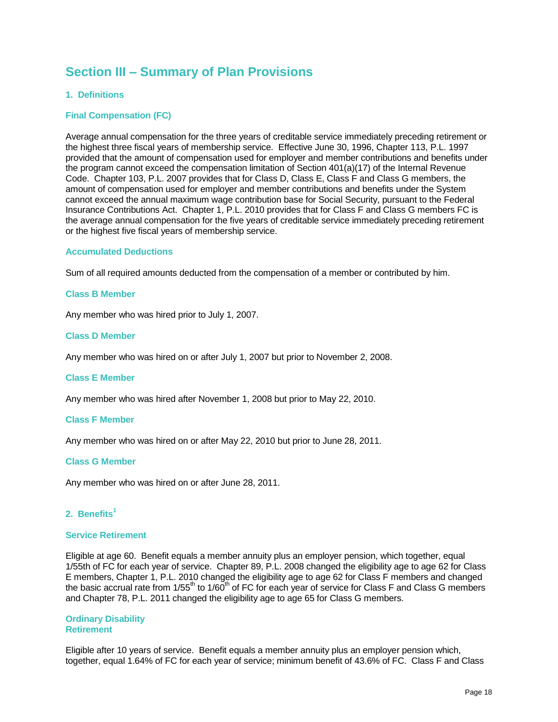# **Section III – Summary of Plan Provisions**

# **1. Definitions**

# **Final Compensation (FC)**

Average annual compensation for the three years of creditable service immediately preceding retirement or the highest three fiscal years of membership service. Effective June 30, 1996, Chapter 113, P.L. 1997 provided that the amount of compensation used for employer and member contributions and benefits under the program cannot exceed the compensation limitation of Section 401(a)(17) of the Internal Revenue Code. Chapter 103, P.L. 2007 provides that for Class D, Class E, Class F and Class G members, the amount of compensation used for employer and member contributions and benefits under the System cannot exceed the annual maximum wage contribution base for Social Security, pursuant to the Federal Insurance Contributions Act. Chapter 1, P.L. 2010 provides that for Class F and Class G members FC is the average annual compensation for the five years of creditable service immediately preceding retirement or the highest five fiscal years of membership service.

#### **Accumulated Deductions**

Sum of all required amounts deducted from the compensation of a member or contributed by him.

#### **Class B Member**

Any member who was hired prior to July 1, 2007.

# **Class D Member**

Any member who was hired on or after July 1, 2007 but prior to November 2, 2008.

#### **Class E Member**

Any member who was hired after November 1, 2008 but prior to May 22, 2010.

#### **Class F Member**

Any member who was hired on or after May 22, 2010 but prior to June 28, 2011.

# **Class G Member**

Any member who was hired on or after June 28, 2011.

# **2. Benefits<sup>1</sup>**

#### **Service Retirement**

Eligible at age 60. Benefit equals a member annuity plus an employer pension, which together, equal 1/55th of FC for each year of service. Chapter 89, P.L. 2008 changed the eligibility age to age 62 for Class E members, Chapter 1, P.L. 2010 changed the eligibility age to age 62 for Class F members and changed the basic accrual rate from 1/55<sup>th</sup> to 1/60<sup>th</sup> of FC for each year of service for Class F and Class G members and Chapter 78, P.L. 2011 changed the eligibility age to age 65 for Class G members.

#### **Ordinary Disability Retirement**

Eligible after 10 years of service. Benefit equals a member annuity plus an employer pension which, together, equal 1.64% of FC for each year of service; minimum benefit of 43.6% of FC. Class F and Class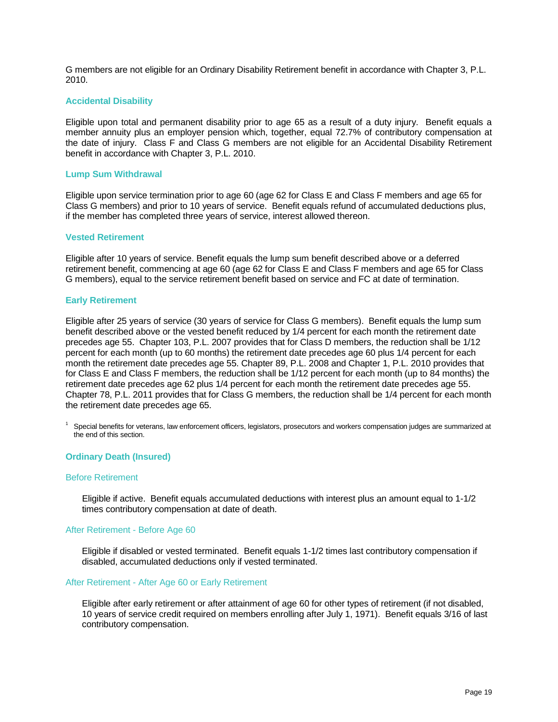G members are not eligible for an Ordinary Disability Retirement benefit in accordance with Chapter 3, P.L. 2010.

# **Accidental Disability**

Eligible upon total and permanent disability prior to age 65 as a result of a duty injury. Benefit equals a member annuity plus an employer pension which, together, equal 72.7% of contributory compensation at the date of injury. Class F and Class G members are not eligible for an Accidental Disability Retirement benefit in accordance with Chapter 3, P.L. 2010.

#### **Lump Sum Withdrawal**

Eligible upon service termination prior to age 60 (age 62 for Class E and Class F members and age 65 for Class G members) and prior to 10 years of service. Benefit equals refund of accumulated deductions plus, if the member has completed three years of service, interest allowed thereon.

#### **Vested Retirement**

Eligible after 10 years of service. Benefit equals the lump sum benefit described above or a deferred retirement benefit, commencing at age 60 (age 62 for Class E and Class F members and age 65 for Class G members), equal to the service retirement benefit based on service and FC at date of termination.

#### **Early Retirement**

Eligible after 25 years of service (30 years of service for Class G members). Benefit equals the lump sum benefit described above or the vested benefit reduced by 1/4 percent for each month the retirement date precedes age 55. Chapter 103, P.L. 2007 provides that for Class D members, the reduction shall be 1/12 percent for each month (up to 60 months) the retirement date precedes age 60 plus 1/4 percent for each month the retirement date precedes age 55. Chapter 89, P.L. 2008 and Chapter 1, P.L. 2010 provides that for Class E and Class F members, the reduction shall be 1/12 percent for each month (up to 84 months) the retirement date precedes age 62 plus 1/4 percent for each month the retirement date precedes age 55. Chapter 78, P.L. 2011 provides that for Class G members, the reduction shall be 1/4 percent for each month the retirement date precedes age 65.

 $1$  Special benefits for veterans, law enforcement officers, legislators, prosecutors and workers compensation judges are summarized at the end of this section.

# **Ordinary Death (Insured)**

#### Before Retirement

Eligible if active. Benefit equals accumulated deductions with interest plus an amount equal to 1-1/2 times contributory compensation at date of death.

#### After Retirement - Before Age 60

Eligible if disabled or vested terminated. Benefit equals 1-1/2 times last contributory compensation if disabled, accumulated deductions only if vested terminated.

#### After Retirement - After Age 60 or Early Retirement

Eligible after early retirement or after attainment of age 60 for other types of retirement (if not disabled, 10 years of service credit required on members enrolling after July 1, 1971). Benefit equals 3/16 of last contributory compensation.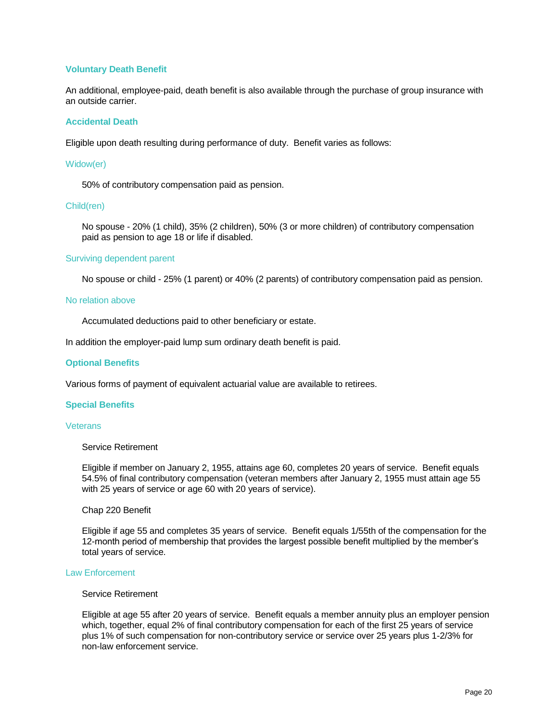# **Voluntary Death Benefit**

An additional, employee-paid, death benefit is also available through the purchase of group insurance with an outside carrier.

#### **Accidental Death**

Eligible upon death resulting during performance of duty. Benefit varies as follows:

#### Widow(er)

50% of contributory compensation paid as pension.

#### Child(ren)

No spouse - 20% (1 child), 35% (2 children), 50% (3 or more children) of contributory compensation paid as pension to age 18 or life if disabled.

#### Surviving dependent parent

No spouse or child - 25% (1 parent) or 40% (2 parents) of contributory compensation paid as pension.

#### No relation above

Accumulated deductions paid to other beneficiary or estate.

In addition the employer-paid lump sum ordinary death benefit is paid.

#### **Optional Benefits**

Various forms of payment of equivalent actuarial value are available to retirees.

#### **Special Benefits**

#### **Veterans**

# Service Retirement

Eligible if member on January 2, 1955, attains age 60, completes 20 years of service. Benefit equals 54.5% of final contributory compensation (veteran members after January 2, 1955 must attain age 55 with 25 years of service or age 60 with 20 years of service).

#### Chap 220 Benefit

Eligible if age 55 and completes 35 years of service. Benefit equals 1/55th of the compensation for the 12-month period of membership that provides the largest possible benefit multiplied by the member's total years of service.

#### Law Enforcement

#### Service Retirement

Eligible at age 55 after 20 years of service. Benefit equals a member annuity plus an employer pension which, together, equal 2% of final contributory compensation for each of the first 25 years of service plus 1% of such compensation for non-contributory service or service over 25 years plus 1-2/3% for non-law enforcement service.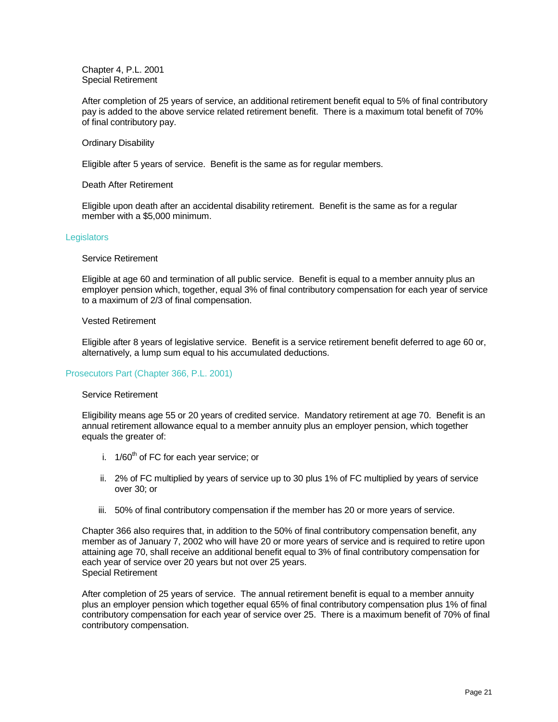Chapter 4, P.L. 2001 Special Retirement

After completion of 25 years of service, an additional retirement benefit equal to 5% of final contributory pay is added to the above service related retirement benefit. There is a maximum total benefit of 70% of final contributory pay.

# Ordinary Disability

Eligible after 5 years of service. Benefit is the same as for regular members.

#### Death After Retirement

Eligible upon death after an accidental disability retirement. Benefit is the same as for a regular member with a \$5,000 minimum.

#### **Legislators**

#### Service Retirement

Eligible at age 60 and termination of all public service. Benefit is equal to a member annuity plus an employer pension which, together, equal 3% of final contributory compensation for each year of service to a maximum of 2/3 of final compensation.

#### Vested Retirement

Eligible after 8 years of legislative service. Benefit is a service retirement benefit deferred to age 60 or, alternatively, a lump sum equal to his accumulated deductions.

# Prosecutors Part (Chapter 366, P.L. 2001)

#### Service Retirement

Eligibility means age 55 or 20 years of credited service. Mandatory retirement at age 70. Benefit is an annual retirement allowance equal to a member annuity plus an employer pension, which together equals the greater of:

- i.  $1/60^{th}$  of FC for each year service; or
- ii. 2% of FC multiplied by years of service up to 30 plus 1% of FC multiplied by years of service over 30; or
- iii. 50% of final contributory compensation if the member has 20 or more years of service.

Chapter 366 also requires that, in addition to the 50% of final contributory compensation benefit, any member as of January 7, 2002 who will have 20 or more years of service and is required to retire upon attaining age 70, shall receive an additional benefit equal to 3% of final contributory compensation for each year of service over 20 years but not over 25 years. Special Retirement

After completion of 25 years of service. The annual retirement benefit is equal to a member annuity plus an employer pension which together equal 65% of final contributory compensation plus 1% of final contributory compensation for each year of service over 25. There is a maximum benefit of 70% of final contributory compensation.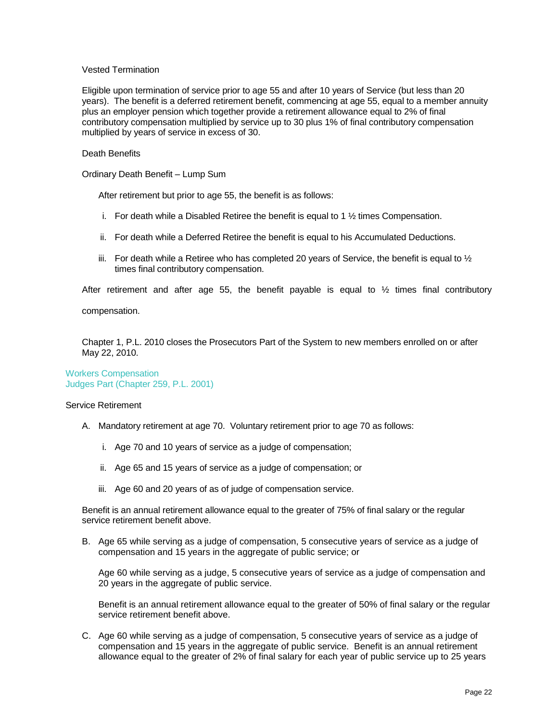# Vested Termination

Eligible upon termination of service prior to age 55 and after 10 years of Service (but less than 20 years). The benefit is a deferred retirement benefit, commencing at age 55, equal to a member annuity plus an employer pension which together provide a retirement allowance equal to 2% of final contributory compensation multiplied by service up to 30 plus 1% of final contributory compensation multiplied by years of service in excess of 30.

# Death Benefits

Ordinary Death Benefit – Lump Sum

After retirement but prior to age 55, the benefit is as follows:

- i. For death while a Disabled Retiree the benefit is equal to 1  $\frac{1}{2}$  times Compensation.
- ii. For death while a Deferred Retiree the benefit is equal to his Accumulated Deductions.
- iii. For death while a Retiree who has completed 20 years of Service, the benefit is equal to  $\frac{1}{2}$ times final contributory compensation.

After retirement and after age 55, the benefit payable is equal to  $\frac{1}{2}$  times final contributory

compensation.

Chapter 1, P.L. 2010 closes the Prosecutors Part of the System to new members enrolled on or after May 22, 2010.

Workers Compensation Judges Part (Chapter 259, P.L. 2001)

#### Service Retirement

- A. Mandatory retirement at age 70. Voluntary retirement prior to age 70 as follows:
	- i. Age 70 and 10 years of service as a judge of compensation;
	- ii. Age 65 and 15 years of service as a judge of compensation; or
	- iii. Age 60 and 20 years of as of judge of compensation service.

Benefit is an annual retirement allowance equal to the greater of 75% of final salary or the regular service retirement benefit above.

B. Age 65 while serving as a judge of compensation, 5 consecutive years of service as a judge of compensation and 15 years in the aggregate of public service; or

Age 60 while serving as a judge, 5 consecutive years of service as a judge of compensation and 20 years in the aggregate of public service.

Benefit is an annual retirement allowance equal to the greater of 50% of final salary or the regular service retirement benefit above.

C. Age 60 while serving as a judge of compensation, 5 consecutive years of service as a judge of compensation and 15 years in the aggregate of public service. Benefit is an annual retirement allowance equal to the greater of 2% of final salary for each year of public service up to 25 years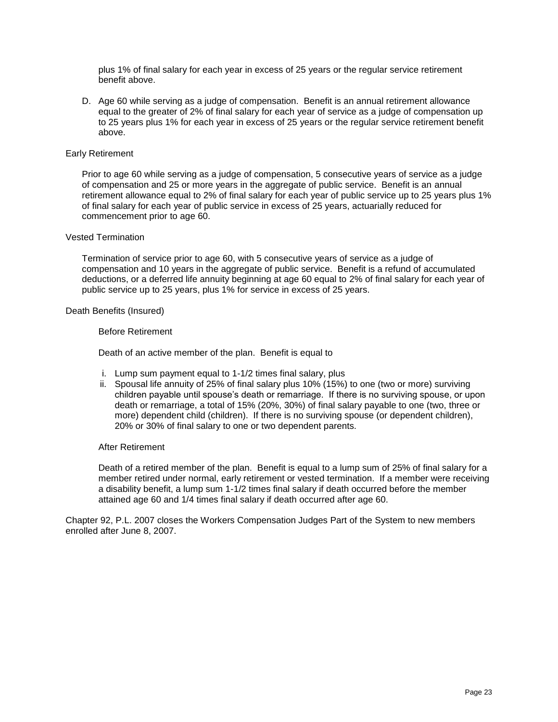plus 1% of final salary for each year in excess of 25 years or the regular service retirement benefit above.

D. Age 60 while serving as a judge of compensation. Benefit is an annual retirement allowance equal to the greater of 2% of final salary for each year of service as a judge of compensation up to 25 years plus 1% for each year in excess of 25 years or the regular service retirement benefit above.

### Early Retirement

Prior to age 60 while serving as a judge of compensation, 5 consecutive years of service as a judge of compensation and 25 or more years in the aggregate of public service. Benefit is an annual retirement allowance equal to 2% of final salary for each year of public service up to 25 years plus 1% of final salary for each year of public service in excess of 25 years, actuarially reduced for commencement prior to age 60.

#### Vested Termination

Termination of service prior to age 60, with 5 consecutive years of service as a judge of compensation and 10 years in the aggregate of public service. Benefit is a refund of accumulated deductions, or a deferred life annuity beginning at age 60 equal to 2% of final salary for each year of public service up to 25 years, plus 1% for service in excess of 25 years.

#### Death Benefits (Insured)

#### Before Retirement

Death of an active member of the plan. Benefit is equal to

- i. Lump sum payment equal to 1-1/2 times final salary, plus
- ii. Spousal life annuity of 25% of final salary plus 10% (15%) to one (two or more) surviving children payable until spouse's death or remarriage. If there is no surviving spouse, or upon death or remarriage, a total of 15% (20%, 30%) of final salary payable to one (two, three or more) dependent child (children). If there is no surviving spouse (or dependent children), 20% or 30% of final salary to one or two dependent parents.

# After Retirement

Death of a retired member of the plan. Benefit is equal to a lump sum of 25% of final salary for a member retired under normal, early retirement or vested termination. If a member were receiving a disability benefit, a lump sum 1-1/2 times final salary if death occurred before the member attained age 60 and 1/4 times final salary if death occurred after age 60.

Chapter 92, P.L. 2007 closes the Workers Compensation Judges Part of the System to new members enrolled after June 8, 2007.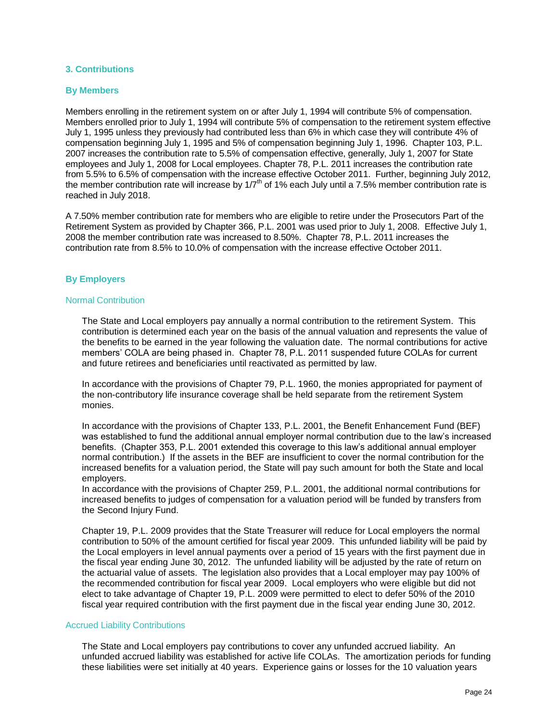# **3. Contributions**

#### **By Members**

Members enrolling in the retirement system on or after July 1, 1994 will contribute 5% of compensation. Members enrolled prior to July 1, 1994 will contribute 5% of compensation to the retirement system effective July 1, 1995 unless they previously had contributed less than 6% in which case they will contribute 4% of compensation beginning July 1, 1995 and 5% of compensation beginning July 1, 1996. Chapter 103, P.L. 2007 increases the contribution rate to 5.5% of compensation effective, generally, July 1, 2007 for State employees and July 1, 2008 for Local employees. Chapter 78, P.L. 2011 increases the contribution rate from 5.5% to 6.5% of compensation with the increase effective October 2011. Further, beginning July 2012, the member contribution rate will increase by  $1/7<sup>th</sup>$  of 1% each July until a 7.5% member contribution rate is reached in July 2018.

A 7.50% member contribution rate for members who are eligible to retire under the Prosecutors Part of the Retirement System as provided by Chapter 366, P.L. 2001 was used prior to July 1, 2008. Effective July 1, 2008 the member contribution rate was increased to 8.50%. Chapter 78, P.L. 2011 increases the contribution rate from 8.5% to 10.0% of compensation with the increase effective October 2011.

# **By Employers**

#### Normal Contribution

The State and Local employers pay annually a normal contribution to the retirement System. This contribution is determined each year on the basis of the annual valuation and represents the value of the benefits to be earned in the year following the valuation date. The normal contributions for active members' COLA are being phased in. Chapter 78, P.L. 2011 suspended future COLAs for current and future retirees and beneficiaries until reactivated as permitted by law.

In accordance with the provisions of Chapter 79, P.L. 1960, the monies appropriated for payment of the non-contributory life insurance coverage shall be held separate from the retirement System monies.

In accordance with the provisions of Chapter 133, P.L. 2001, the Benefit Enhancement Fund (BEF) was established to fund the additional annual employer normal contribution due to the law's increased benefits. (Chapter 353, P.L. 2001 extended this coverage to this law's additional annual employer normal contribution.) If the assets in the BEF are insufficient to cover the normal contribution for the increased benefits for a valuation period, the State will pay such amount for both the State and local employers.

In accordance with the provisions of Chapter 259, P.L. 2001, the additional normal contributions for increased benefits to judges of compensation for a valuation period will be funded by transfers from the Second Injury Fund.

Chapter 19, P.L. 2009 provides that the State Treasurer will reduce for Local employers the normal contribution to 50% of the amount certified for fiscal year 2009. This unfunded liability will be paid by the Local employers in level annual payments over a period of 15 years with the first payment due in the fiscal year ending June 30, 2012. The unfunded liability will be adjusted by the rate of return on the actuarial value of assets. The legislation also provides that a Local employer may pay 100% of the recommended contribution for fiscal year 2009. Local employers who were eligible but did not elect to take advantage of Chapter 19, P.L. 2009 were permitted to elect to defer 50% of the 2010 fiscal year required contribution with the first payment due in the fiscal year ending June 30, 2012.

#### Accrued Liability Contributions

The State and Local employers pay contributions to cover any unfunded accrued liability. An unfunded accrued liability was established for active life COLAs. The amortization periods for funding these liabilities were set initially at 40 years. Experience gains or losses for the 10 valuation years